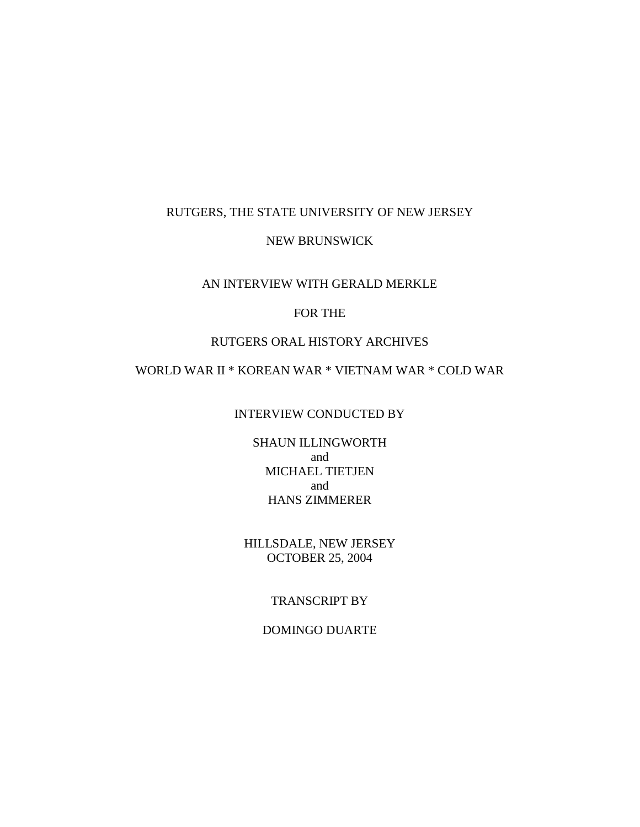### RUTGERS, THE STATE UNIVERSITY OF NEW JERSEY

### NEW BRUNSWICK

### AN INTERVIEW WITH GERALD MERKLE

## FOR THE

### RUTGERS ORAL HISTORY ARCHIVES

# WORLD WAR II \* KOREAN WAR \* VIETNAM WAR \* COLD WAR

#### INTERVIEW CONDUCTED BY

SHAUN ILLINGWORTH and MICHAEL TIETJEN and HANS ZIMMERER

HILLSDALE, NEW JERSEY OCTOBER 25, 2004

## TRANSCRIPT BY

DOMINGO DUARTE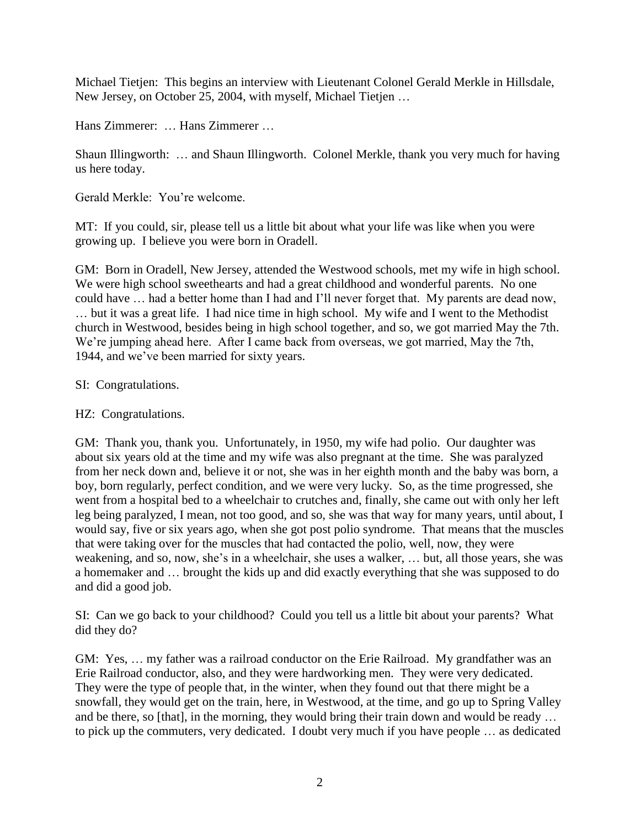Michael Tietjen: This begins an interview with Lieutenant Colonel Gerald Merkle in Hillsdale, New Jersey, on October 25, 2004, with myself, Michael Tietjen …

Hans Zimmerer: … Hans Zimmerer …

Shaun Illingworth: … and Shaun Illingworth. Colonel Merkle, thank you very much for having us here today.

Gerald Merkle: You're welcome.

MT: If you could, sir, please tell us a little bit about what your life was like when you were growing up. I believe you were born in Oradell.

GM: Born in Oradell, New Jersey, attended the Westwood schools, met my wife in high school. We were high school sweethearts and had a great childhood and wonderful parents. No one could have … had a better home than I had and I'll never forget that. My parents are dead now, … but it was a great life. I had nice time in high school. My wife and I went to the Methodist church in Westwood, besides being in high school together, and so, we got married May the 7th. We're jumping ahead here. After I came back from overseas, we got married, May the 7th, 1944, and we've been married for sixty years.

# SI: Congratulations.

# HZ: Congratulations.

GM: Thank you, thank you. Unfortunately, in 1950, my wife had polio. Our daughter was about six years old at the time and my wife was also pregnant at the time. She was paralyzed from her neck down and, believe it or not, she was in her eighth month and the baby was born, a boy, born regularly, perfect condition, and we were very lucky. So, as the time progressed, she went from a hospital bed to a wheelchair to crutches and, finally, she came out with only her left leg being paralyzed, I mean, not too good, and so, she was that way for many years, until about, I would say, five or six years ago, when she got post polio syndrome. That means that the muscles that were taking over for the muscles that had contacted the polio, well, now, they were weakening, and so, now, she's in a wheelchair, she uses a walker, … but, all those years, she was a homemaker and … brought the kids up and did exactly everything that she was supposed to do and did a good job.

SI: Can we go back to your childhood? Could you tell us a little bit about your parents? What did they do?

GM: Yes, … my father was a railroad conductor on the Erie Railroad. My grandfather was an Erie Railroad conductor, also, and they were hardworking men. They were very dedicated. They were the type of people that, in the winter, when they found out that there might be a snowfall, they would get on the train, here, in Westwood, at the time, and go up to Spring Valley and be there, so [that], in the morning, they would bring their train down and would be ready … to pick up the commuters, very dedicated. I doubt very much if you have people … as dedicated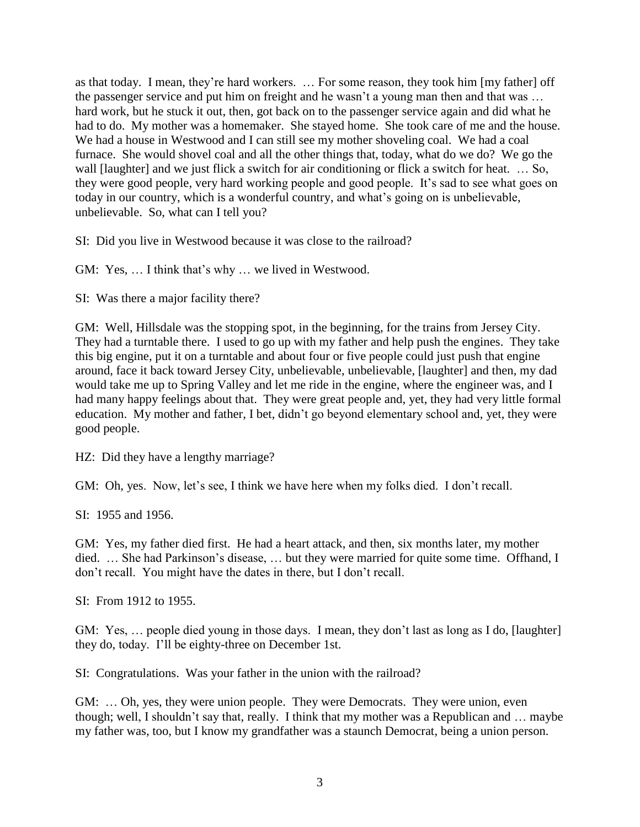as that today. I mean, they're hard workers. … For some reason, they took him [my father] off the passenger service and put him on freight and he wasn't a young man then and that was … hard work, but he stuck it out, then, got back on to the passenger service again and did what he had to do. My mother was a homemaker. She stayed home. She took care of me and the house. We had a house in Westwood and I can still see my mother shoveling coal. We had a coal furnace. She would shovel coal and all the other things that, today, what do we do? We go the wall [laughter] and we just flick a switch for air conditioning or flick a switch for heat. ... So, they were good people, very hard working people and good people. It's sad to see what goes on today in our country, which is a wonderful country, and what's going on is unbelievable, unbelievable. So, what can I tell you?

SI: Did you live in Westwood because it was close to the railroad?

GM: Yes, … I think that's why … we lived in Westwood.

SI: Was there a major facility there?

GM: Well, Hillsdale was the stopping spot, in the beginning, for the trains from Jersey City. They had a turntable there. I used to go up with my father and help push the engines. They take this big engine, put it on a turntable and about four or five people could just push that engine around, face it back toward Jersey City, unbelievable, unbelievable, [laughter] and then, my dad would take me up to Spring Valley and let me ride in the engine, where the engineer was, and I had many happy feelings about that. They were great people and, yet, they had very little formal education. My mother and father, I bet, didn't go beyond elementary school and, yet, they were good people.

HZ: Did they have a lengthy marriage?

GM: Oh, yes. Now, let's see, I think we have here when my folks died. I don't recall.

SI: 1955 and 1956.

GM: Yes, my father died first. He had a heart attack, and then, six months later, my mother died. … She had Parkinson's disease, … but they were married for quite some time. Offhand, I don't recall. You might have the dates in there, but I don't recall.

SI: From 1912 to 1955.

GM: Yes, … people died young in those days. I mean, they don't last as long as I do, [laughter] they do, today. I'll be eighty-three on December 1st.

SI: Congratulations. Was your father in the union with the railroad?

GM: … Oh, yes, they were union people. They were Democrats. They were union, even though; well, I shouldn't say that, really. I think that my mother was a Republican and … maybe my father was, too, but I know my grandfather was a staunch Democrat, being a union person.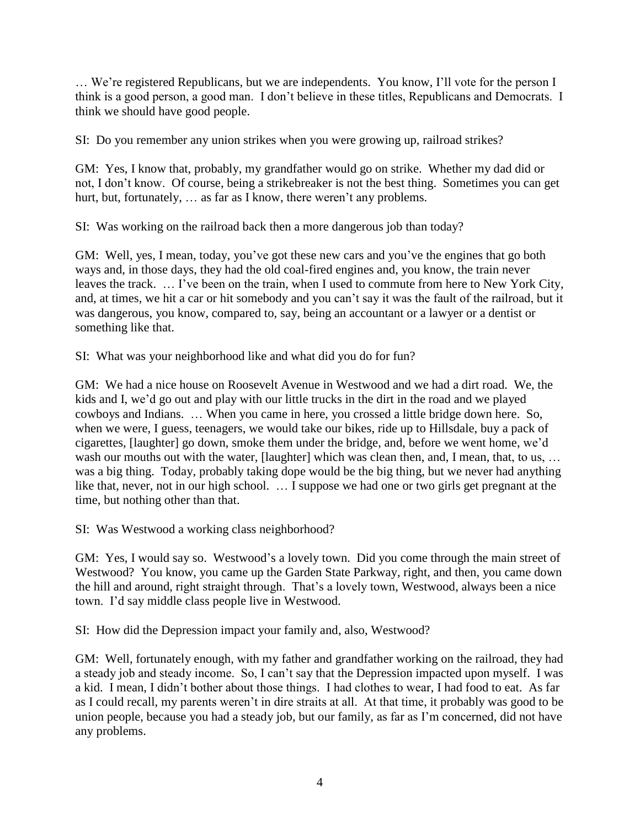… We're registered Republicans, but we are independents. You know, I'll vote for the person I think is a good person, a good man. I don't believe in these titles, Republicans and Democrats. I think we should have good people.

SI: Do you remember any union strikes when you were growing up, railroad strikes?

GM: Yes, I know that, probably, my grandfather would go on strike. Whether my dad did or not, I don't know. Of course, being a strikebreaker is not the best thing. Sometimes you can get hurt, but, fortunately, ... as far as I know, there weren't any problems.

SI: Was working on the railroad back then a more dangerous job than today?

GM: Well, yes, I mean, today, you've got these new cars and you've the engines that go both ways and, in those days, they had the old coal-fired engines and, you know, the train never leaves the track. … I've been on the train, when I used to commute from here to New York City, and, at times, we hit a car or hit somebody and you can't say it was the fault of the railroad, but it was dangerous, you know, compared to, say, being an accountant or a lawyer or a dentist or something like that.

SI: What was your neighborhood like and what did you do for fun?

GM: We had a nice house on Roosevelt Avenue in Westwood and we had a dirt road. We, the kids and I, we'd go out and play with our little trucks in the dirt in the road and we played cowboys and Indians. … When you came in here, you crossed a little bridge down here. So, when we were, I guess, teenagers, we would take our bikes, ride up to Hillsdale, buy a pack of cigarettes, [laughter] go down, smoke them under the bridge, and, before we went home, we'd wash our mouths out with the water, [laughter] which was clean then, and, I mean, that, to us, ... was a big thing. Today, probably taking dope would be the big thing, but we never had anything like that, never, not in our high school. … I suppose we had one or two girls get pregnant at the time, but nothing other than that.

SI: Was Westwood a working class neighborhood?

GM: Yes, I would say so. Westwood's a lovely town. Did you come through the main street of Westwood? You know, you came up the Garden State Parkway, right, and then, you came down the hill and around, right straight through. That's a lovely town, Westwood, always been a nice town. I'd say middle class people live in Westwood.

SI: How did the Depression impact your family and, also, Westwood?

GM: Well, fortunately enough, with my father and grandfather working on the railroad, they had a steady job and steady income. So, I can't say that the Depression impacted upon myself. I was a kid. I mean, I didn't bother about those things. I had clothes to wear, I had food to eat. As far as I could recall, my parents weren't in dire straits at all. At that time, it probably was good to be union people, because you had a steady job, but our family, as far as I'm concerned, did not have any problems.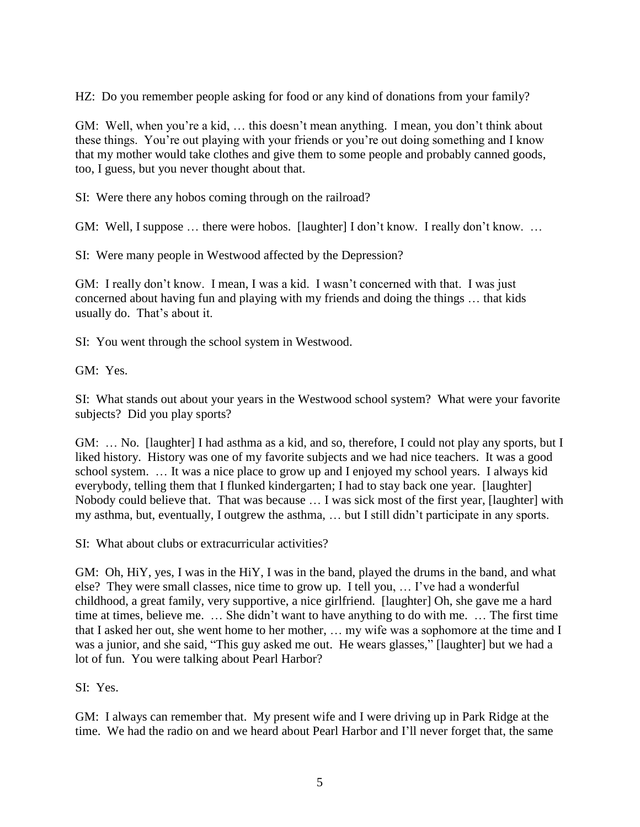HZ: Do you remember people asking for food or any kind of donations from your family?

GM: Well, when you're a kid, ... this doesn't mean anything. I mean, you don't think about these things. You're out playing with your friends or you're out doing something and I know that my mother would take clothes and give them to some people and probably canned goods, too, I guess, but you never thought about that.

SI: Were there any hobos coming through on the railroad?

GM: Well, I suppose ... there were hobos. [laughter] I don't know. I really don't know. ...

SI: Were many people in Westwood affected by the Depression?

GM: I really don't know. I mean, I was a kid. I wasn't concerned with that. I was just concerned about having fun and playing with my friends and doing the things … that kids usually do. That's about it.

SI: You went through the school system in Westwood.

GM: Yes.

SI: What stands out about your years in the Westwood school system? What were your favorite subjects? Did you play sports?

GM: … No. [laughter] I had asthma as a kid, and so, therefore, I could not play any sports, but I liked history. History was one of my favorite subjects and we had nice teachers. It was a good school system. … It was a nice place to grow up and I enjoyed my school years. I always kid everybody, telling them that I flunked kindergarten; I had to stay back one year. [laughter] Nobody could believe that. That was because … I was sick most of the first year, [laughter] with my asthma, but, eventually, I outgrew the asthma, … but I still didn't participate in any sports.

SI: What about clubs or extracurricular activities?

GM: Oh, HiY, yes, I was in the HiY, I was in the band, played the drums in the band, and what else? They were small classes, nice time to grow up. I tell you, … I've had a wonderful childhood, a great family, very supportive, a nice girlfriend. [laughter] Oh, she gave me a hard time at times, believe me. … She didn't want to have anything to do with me. … The first time that I asked her out, she went home to her mother, … my wife was a sophomore at the time and I was a junior, and she said, "This guy asked me out. He wears glasses," [laughter] but we had a lot of fun. You were talking about Pearl Harbor?

SI: Yes.

GM: I always can remember that. My present wife and I were driving up in Park Ridge at the time. We had the radio on and we heard about Pearl Harbor and I'll never forget that, the same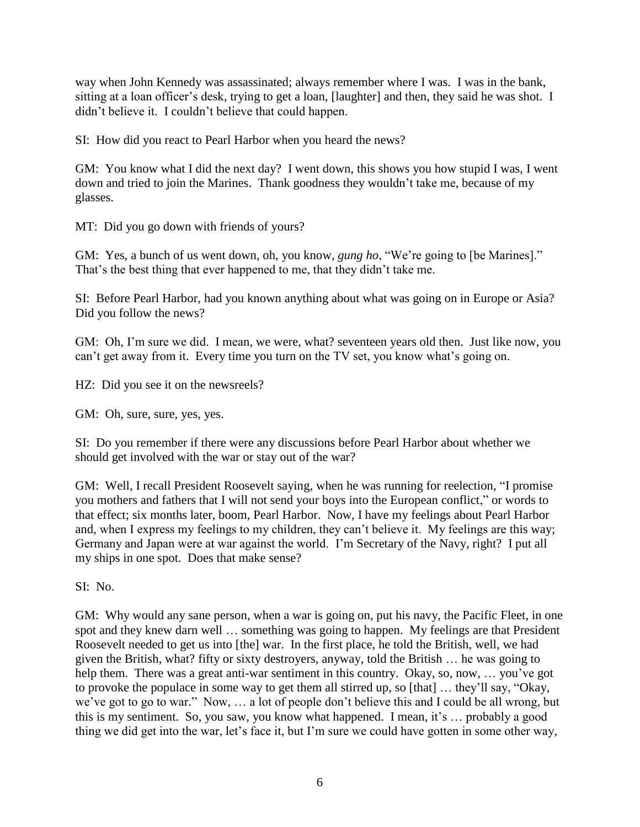way when John Kennedy was assassinated; always remember where I was. I was in the bank, sitting at a loan officer's desk, trying to get a loan, [laughter] and then, they said he was shot. I didn't believe it. I couldn't believe that could happen.

SI: How did you react to Pearl Harbor when you heard the news?

GM: You know what I did the next day? I went down, this shows you how stupid I was, I went down and tried to join the Marines. Thank goodness they wouldn't take me, because of my glasses.

MT: Did you go down with friends of yours?

GM: Yes, a bunch of us went down, oh, you know, *gung ho*, "We're going to [be Marines]." That's the best thing that ever happened to me, that they didn't take me.

SI: Before Pearl Harbor, had you known anything about what was going on in Europe or Asia? Did you follow the news?

GM: Oh, I'm sure we did. I mean, we were, what? seventeen years old then. Just like now, you can't get away from it. Every time you turn on the TV set, you know what's going on.

HZ: Did you see it on the newsreels?

GM: Oh, sure, sure, yes, yes.

SI: Do you remember if there were any discussions before Pearl Harbor about whether we should get involved with the war or stay out of the war?

GM: Well, I recall President Roosevelt saying, when he was running for reelection, "I promise you mothers and fathers that I will not send your boys into the European conflict," or words to that effect; six months later, boom, Pearl Harbor. Now, I have my feelings about Pearl Harbor and, when I express my feelings to my children, they can't believe it. My feelings are this way; Germany and Japan were at war against the world. I'm Secretary of the Navy, right? I put all my ships in one spot. Does that make sense?

SI: No.

GM: Why would any sane person, when a war is going on, put his navy, the Pacific Fleet, in one spot and they knew darn well … something was going to happen. My feelings are that President Roosevelt needed to get us into [the] war. In the first place, he told the British, well, we had given the British, what? fifty or sixty destroyers, anyway, told the British … he was going to help them. There was a great anti-war sentiment in this country. Okay, so, now, ... you've got to provoke the populace in some way to get them all stirred up, so [that] … they'll say, "Okay, we've got to go to war." Now, … a lot of people don't believe this and I could be all wrong, but this is my sentiment. So, you saw, you know what happened. I mean, it's … probably a good thing we did get into the war, let's face it, but I'm sure we could have gotten in some other way,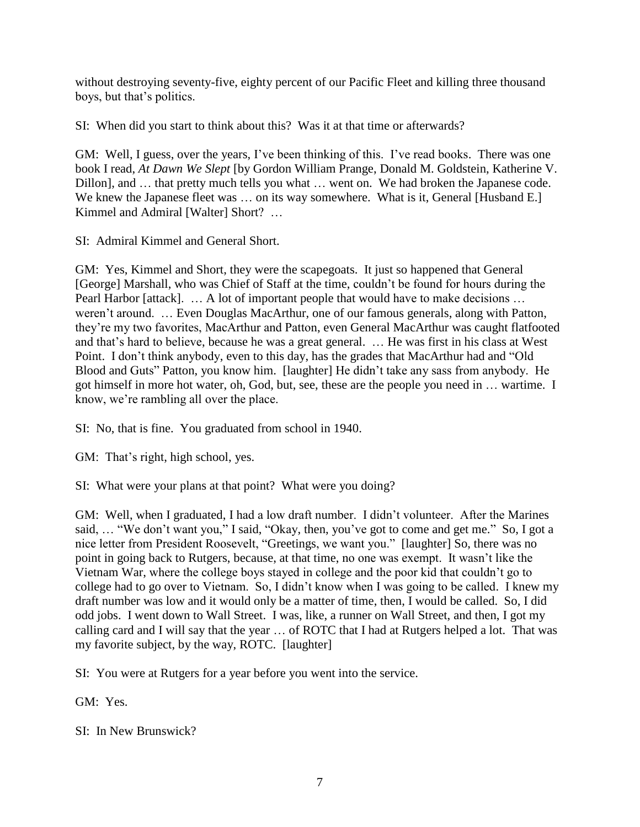without destroying seventy-five, eighty percent of our Pacific Fleet and killing three thousand boys, but that's politics.

SI: When did you start to think about this? Was it at that time or afterwards?

GM: Well, I guess, over the years, I've been thinking of this. I've read books. There was one book I read, *At Dawn We Slept* [by Gordon William Prange, Donald M. Goldstein, Katherine V. Dillon], and … that pretty much tells you what … went on. We had broken the Japanese code. We knew the Japanese fleet was ... on its way somewhere. What is it, General [Husband E.] Kimmel and Admiral [Walter] Short? …

SI: Admiral Kimmel and General Short.

GM: Yes, Kimmel and Short, they were the scapegoats. It just so happened that General [George] Marshall, who was Chief of Staff at the time, couldn't be found for hours during the Pearl Harbor [attack]. ... A lot of important people that would have to make decisions ... weren't around. … Even Douglas MacArthur, one of our famous generals, along with Patton, they're my two favorites, MacArthur and Patton, even General MacArthur was caught flatfooted and that's hard to believe, because he was a great general. … He was first in his class at West Point. I don't think anybody, even to this day, has the grades that MacArthur had and "Old Blood and Guts" Patton, you know him. [laughter] He didn't take any sass from anybody. He got himself in more hot water, oh, God, but, see, these are the people you need in … wartime. I know, we're rambling all over the place.

SI: No, that is fine. You graduated from school in 1940.

GM: That's right, high school, yes.

SI: What were your plans at that point? What were you doing?

GM: Well, when I graduated, I had a low draft number. I didn't volunteer. After the Marines said, … "We don't want you," I said, "Okay, then, you've got to come and get me." So, I got a nice letter from President Roosevelt, "Greetings, we want you." [laughter] So, there was no point in going back to Rutgers, because, at that time, no one was exempt. It wasn't like the Vietnam War, where the college boys stayed in college and the poor kid that couldn't go to college had to go over to Vietnam. So, I didn't know when I was going to be called. I knew my draft number was low and it would only be a matter of time, then, I would be called. So, I did odd jobs. I went down to Wall Street. I was, like, a runner on Wall Street, and then, I got my calling card and I will say that the year … of ROTC that I had at Rutgers helped a lot. That was my favorite subject, by the way, ROTC. [laughter]

SI: You were at Rutgers for a year before you went into the service.

GM: Yes.

SI: In New Brunswick?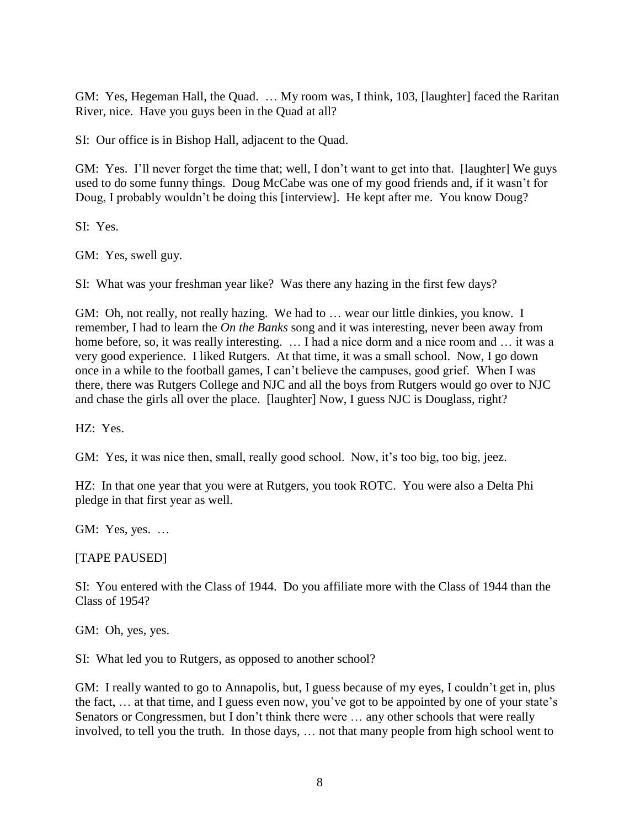GM: Yes, Hegeman Hall, the Quad. … My room was, I think, 103, [laughter] faced the Raritan River, nice. Have you guys been in the Quad at all?

SI: Our office is in Bishop Hall, adjacent to the Quad.

GM: Yes. I'll never forget the time that; well, I don't want to get into that. [laughter] We guys used to do some funny things. Doug McCabe was one of my good friends and, if it wasn't for Doug, I probably wouldn't be doing this [interview]. He kept after me. You know Doug?

SI: Yes.

GM: Yes, swell guy.

SI: What was your freshman year like? Was there any hazing in the first few days?

GM: Oh, not really, not really hazing. We had to ... wear our little dinkies, you know. I remember, I had to learn the *On the Banks* song and it was interesting, never been away from home before, so, it was really interesting. ... I had a nice dorm and a nice room and ... it was a very good experience. I liked Rutgers. At that time, it was a small school. Now, I go down once in a while to the football games, I can't believe the campuses, good grief. When I was there, there was Rutgers College and NJC and all the boys from Rutgers would go over to NJC and chase the girls all over the place. [laughter] Now, I guess NJC is Douglass, right?

HZ: Yes.

GM: Yes, it was nice then, small, really good school. Now, it's too big, too big, jeez.

HZ: In that one year that you were at Rutgers, you took ROTC. You were also a Delta Phi pledge in that first year as well.

GM: Yes, yes. …

[TAPE PAUSED]

SI: You entered with the Class of 1944. Do you affiliate more with the Class of 1944 than the Class of 1954?

GM: Oh, yes, yes.

SI: What led you to Rutgers, as opposed to another school?

GM: I really wanted to go to Annapolis, but, I guess because of my eyes, I couldn't get in, plus the fact, … at that time, and I guess even now, you've got to be appointed by one of your state's Senators or Congressmen, but I don't think there were … any other schools that were really involved, to tell you the truth. In those days, … not that many people from high school went to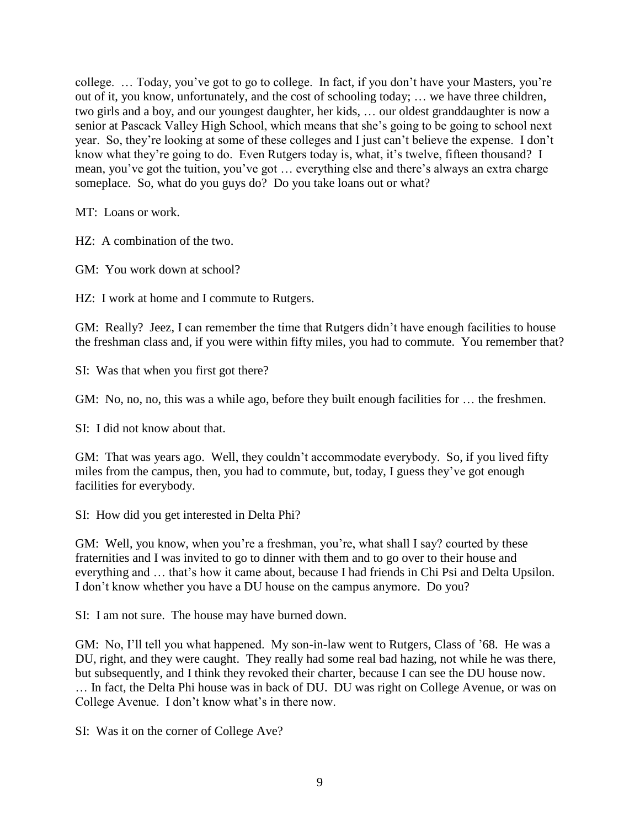college. … Today, you've got to go to college. In fact, if you don't have your Masters, you're out of it, you know, unfortunately, and the cost of schooling today; … we have three children, two girls and a boy, and our youngest daughter, her kids, … our oldest granddaughter is now a senior at Pascack Valley High School, which means that she's going to be going to school next year. So, they're looking at some of these colleges and I just can't believe the expense. I don't know what they're going to do. Even Rutgers today is, what, it's twelve, fifteen thousand? I mean, you've got the tuition, you've got … everything else and there's always an extra charge someplace. So, what do you guys do? Do you take loans out or what?

MT: Loans or work.

HZ: A combination of the two.

GM: You work down at school?

HZ: I work at home and I commute to Rutgers.

GM: Really? Jeez, I can remember the time that Rutgers didn't have enough facilities to house the freshman class and, if you were within fifty miles, you had to commute. You remember that?

SI: Was that when you first got there?

GM: No, no, no, this was a while ago, before they built enough facilities for ... the freshmen.

SI: I did not know about that.

GM: That was years ago. Well, they couldn't accommodate everybody. So, if you lived fifty miles from the campus, then, you had to commute, but, today, I guess they've got enough facilities for everybody.

SI: How did you get interested in Delta Phi?

GM: Well, you know, when you're a freshman, you're, what shall I say? courted by these fraternities and I was invited to go to dinner with them and to go over to their house and everything and … that's how it came about, because I had friends in Chi Psi and Delta Upsilon. I don't know whether you have a DU house on the campus anymore. Do you?

SI: I am not sure. The house may have burned down.

GM: No, I'll tell you what happened. My son-in-law went to Rutgers, Class of '68. He was a DU, right, and they were caught. They really had some real bad hazing, not while he was there, but subsequently, and I think they revoked their charter, because I can see the DU house now.

… In fact, the Delta Phi house was in back of DU. DU was right on College Avenue, or was on College Avenue. I don't know what's in there now.

SI: Was it on the corner of College Ave?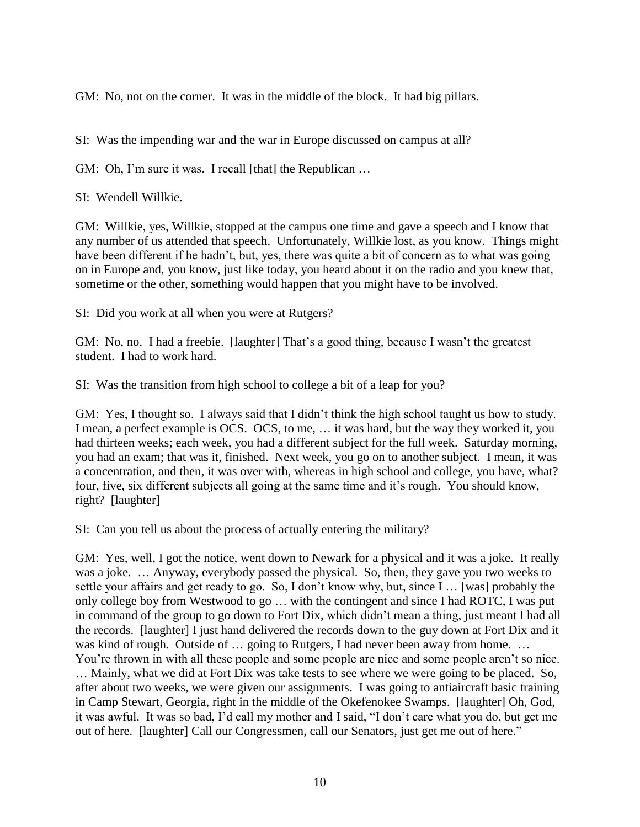GM: No, not on the corner. It was in the middle of the block. It had big pillars.

SI: Was the impending war and the war in Europe discussed on campus at all?

GM: Oh, I'm sure it was. I recall [that] the Republican ...

SI: Wendell Willkie.

GM: Willkie, yes, Willkie, stopped at the campus one time and gave a speech and I know that any number of us attended that speech. Unfortunately, Willkie lost, as you know. Things might have been different if he hadn't, but, yes, there was quite a bit of concern as to what was going on in Europe and, you know, just like today, you heard about it on the radio and you knew that, sometime or the other, something would happen that you might have to be involved.

SI: Did you work at all when you were at Rutgers?

GM: No, no. I had a freebie. [laughter] That's a good thing, because I wasn't the greatest student. I had to work hard.

SI: Was the transition from high school to college a bit of a leap for you?

GM: Yes, I thought so. I always said that I didn't think the high school taught us how to study. I mean, a perfect example is OCS. OCS, to me, … it was hard, but the way they worked it, you had thirteen weeks; each week, you had a different subject for the full week. Saturday morning, you had an exam; that was it, finished. Next week, you go on to another subject. I mean, it was a concentration, and then, it was over with, whereas in high school and college, you have, what? four, five, six different subjects all going at the same time and it's rough. You should know, right? [laughter]

SI: Can you tell us about the process of actually entering the military?

GM: Yes, well, I got the notice, went down to Newark for a physical and it was a joke. It really was a joke. … Anyway, everybody passed the physical. So, then, they gave you two weeks to settle your affairs and get ready to go. So, I don't know why, but, since I … [was] probably the only college boy from Westwood to go … with the contingent and since I had ROTC, I was put in command of the group to go down to Fort Dix, which didn't mean a thing, just meant I had all the records. [laughter] I just hand delivered the records down to the guy down at Fort Dix and it was kind of rough. Outside of ... going to Rutgers, I had never been away from home. ... You're thrown in with all these people and some people are nice and some people aren't so nice. … Mainly, what we did at Fort Dix was take tests to see where we were going to be placed. So, after about two weeks, we were given our assignments. I was going to antiaircraft basic training in Camp Stewart, Georgia, right in the middle of the Okefenokee Swamps. [laughter] Oh, God, it was awful. It was so bad, I'd call my mother and I said, "I don't care what you do, but get me out of here. [laughter] Call our Congressmen, call our Senators, just get me out of here."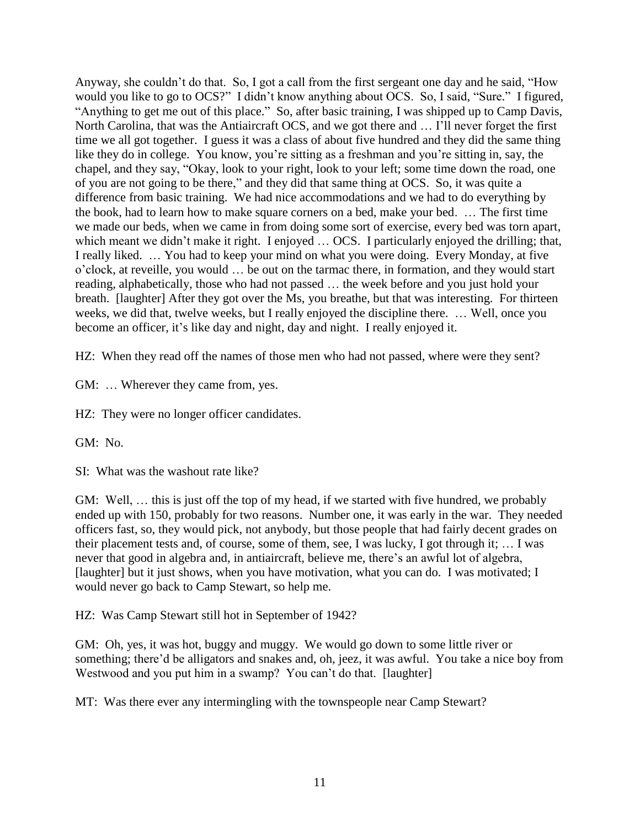Anyway, she couldn't do that. So, I got a call from the first sergeant one day and he said, "How would you like to go to OCS?" I didn't know anything about OCS. So, I said, "Sure." I figured, "Anything to get me out of this place." So, after basic training, I was shipped up to Camp Davis, North Carolina, that was the Antiaircraft OCS, and we got there and … I'll never forget the first time we all got together. I guess it was a class of about five hundred and they did the same thing like they do in college. You know, you're sitting as a freshman and you're sitting in, say, the chapel, and they say, "Okay, look to your right, look to your left; some time down the road, one of you are not going to be there," and they did that same thing at OCS. So, it was quite a difference from basic training. We had nice accommodations and we had to do everything by the book, had to learn how to make square corners on a bed, make your bed. … The first time we made our beds, when we came in from doing some sort of exercise, every bed was torn apart, which meant we didn't make it right. I enjoyed ... OCS. I particularly enjoyed the drilling; that, I really liked. … You had to keep your mind on what you were doing. Every Monday, at five o'clock, at reveille, you would … be out on the tarmac there, in formation, and they would start reading, alphabetically, those who had not passed … the week before and you just hold your breath. [laughter] After they got over the Ms, you breathe, but that was interesting. For thirteen weeks, we did that, twelve weeks, but I really enjoyed the discipline there. … Well, once you become an officer, it's like day and night, day and night. I really enjoyed it.

HZ: When they read off the names of those men who had not passed, where were they sent?

GM: … Wherever they came from, yes.

HZ: They were no longer officer candidates.

GM: No.

SI: What was the washout rate like?

GM: Well, … this is just off the top of my head, if we started with five hundred, we probably ended up with 150, probably for two reasons. Number one, it was early in the war. They needed officers fast, so, they would pick, not anybody, but those people that had fairly decent grades on their placement tests and, of course, some of them, see, I was lucky, I got through it; … I was never that good in algebra and, in antiaircraft, believe me, there's an awful lot of algebra, [laughter] but it just shows, when you have motivation, what you can do. I was motivated; I would never go back to Camp Stewart, so help me.

HZ: Was Camp Stewart still hot in September of 1942?

GM: Oh, yes, it was hot, buggy and muggy. We would go down to some little river or something; there'd be alligators and snakes and, oh, jeez, it was awful. You take a nice boy from Westwood and you put him in a swamp? You can't do that. [laughter]

MT: Was there ever any intermingling with the townspeople near Camp Stewart?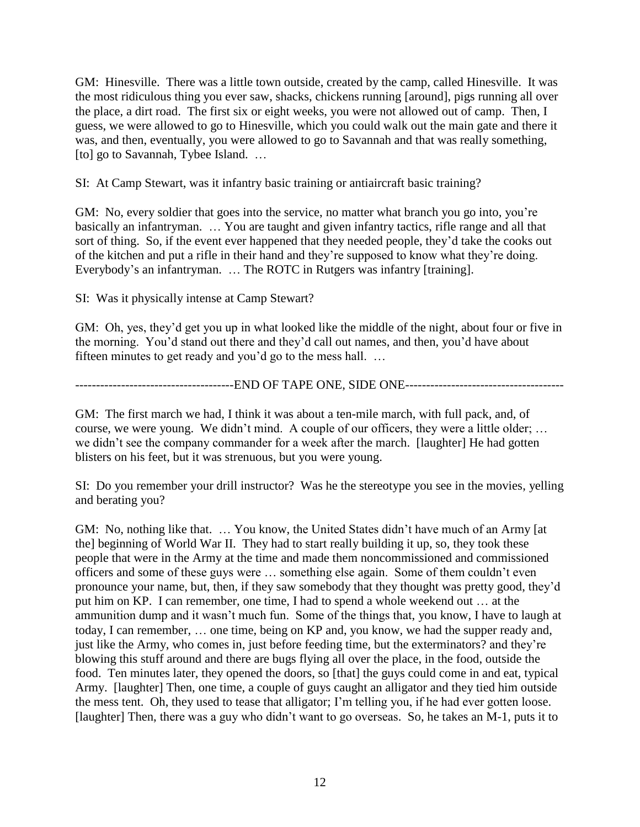GM: Hinesville. There was a little town outside, created by the camp, called Hinesville. It was the most ridiculous thing you ever saw, shacks, chickens running [around], pigs running all over the place, a dirt road. The first six or eight weeks, you were not allowed out of camp. Then, I guess, we were allowed to go to Hinesville, which you could walk out the main gate and there it was, and then, eventually, you were allowed to go to Savannah and that was really something, [to] go to Savannah, Tybee Island. ...

SI: At Camp Stewart, was it infantry basic training or antiaircraft basic training?

GM: No, every soldier that goes into the service, no matter what branch you go into, you're basically an infantryman. … You are taught and given infantry tactics, rifle range and all that sort of thing. So, if the event ever happened that they needed people, they'd take the cooks out of the kitchen and put a rifle in their hand and they're supposed to know what they're doing. Everybody's an infantryman. … The ROTC in Rutgers was infantry [training].

SI: Was it physically intense at Camp Stewart?

GM: Oh, yes, they'd get you up in what looked like the middle of the night, about four or five in the morning. You'd stand out there and they'd call out names, and then, you'd have about fifteen minutes to get ready and you'd go to the mess hall. …

--------------------------------------END OF TAPE ONE, SIDE ONE--------------------------------------

GM: The first march we had, I think it was about a ten-mile march, with full pack, and, of course, we were young. We didn't mind. A couple of our officers, they were a little older; … we didn't see the company commander for a week after the march. [laughter] He had gotten blisters on his feet, but it was strenuous, but you were young.

SI: Do you remember your drill instructor? Was he the stereotype you see in the movies, yelling and berating you?

GM: No, nothing like that. … You know, the United States didn't have much of an Army [at the] beginning of World War II. They had to start really building it up, so, they took these people that were in the Army at the time and made them noncommissioned and commissioned officers and some of these guys were … something else again. Some of them couldn't even pronounce your name, but, then, if they saw somebody that they thought was pretty good, they'd put him on KP. I can remember, one time, I had to spend a whole weekend out … at the ammunition dump and it wasn't much fun. Some of the things that, you know, I have to laugh at today, I can remember, … one time, being on KP and, you know, we had the supper ready and, just like the Army, who comes in, just before feeding time, but the exterminators? and they're blowing this stuff around and there are bugs flying all over the place, in the food, outside the food. Ten minutes later, they opened the doors, so [that] the guys could come in and eat, typical Army. [laughter] Then, one time, a couple of guys caught an alligator and they tied him outside the mess tent. Oh, they used to tease that alligator; I'm telling you, if he had ever gotten loose. [laughter] Then, there was a guy who didn't want to go overseas. So, he takes an M-1, puts it to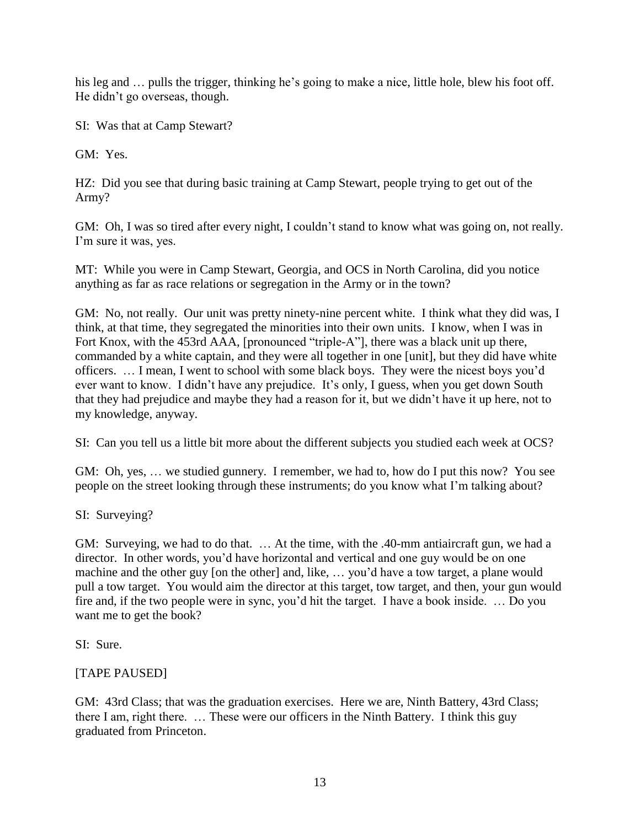his leg and ... pulls the trigger, thinking he's going to make a nice, little hole, blew his foot off. He didn't go overseas, though.

SI: Was that at Camp Stewart?

GM: Yes.

HZ: Did you see that during basic training at Camp Stewart, people trying to get out of the Army?

GM: Oh, I was so tired after every night, I couldn't stand to know what was going on, not really. I'm sure it was, yes.

MT: While you were in Camp Stewart, Georgia, and OCS in North Carolina, did you notice anything as far as race relations or segregation in the Army or in the town?

GM: No, not really. Our unit was pretty ninety-nine percent white. I think what they did was, I think, at that time, they segregated the minorities into their own units. I know, when I was in Fort Knox, with the 453rd AAA, [pronounced "triple-A"], there was a black unit up there, commanded by a white captain, and they were all together in one [unit], but they did have white officers. … I mean, I went to school with some black boys. They were the nicest boys you'd ever want to know. I didn't have any prejudice. It's only, I guess, when you get down South that they had prejudice and maybe they had a reason for it, but we didn't have it up here, not to my knowledge, anyway.

SI: Can you tell us a little bit more about the different subjects you studied each week at OCS?

GM: Oh, yes, … we studied gunnery. I remember, we had to, how do I put this now? You see people on the street looking through these instruments; do you know what I'm talking about?

SI: Surveying?

GM: Surveying, we had to do that. … At the time, with the .40-mm antiaircraft gun, we had a director. In other words, you'd have horizontal and vertical and one guy would be on one machine and the other guy [on the other] and, like, … you'd have a tow target, a plane would pull a tow target. You would aim the director at this target, tow target, and then, your gun would fire and, if the two people were in sync, you'd hit the target. I have a book inside. … Do you want me to get the book?

SI: Sure.

## [TAPE PAUSED]

GM: 43rd Class; that was the graduation exercises. Here we are, Ninth Battery, 43rd Class; there I am, right there. … These were our officers in the Ninth Battery. I think this guy graduated from Princeton.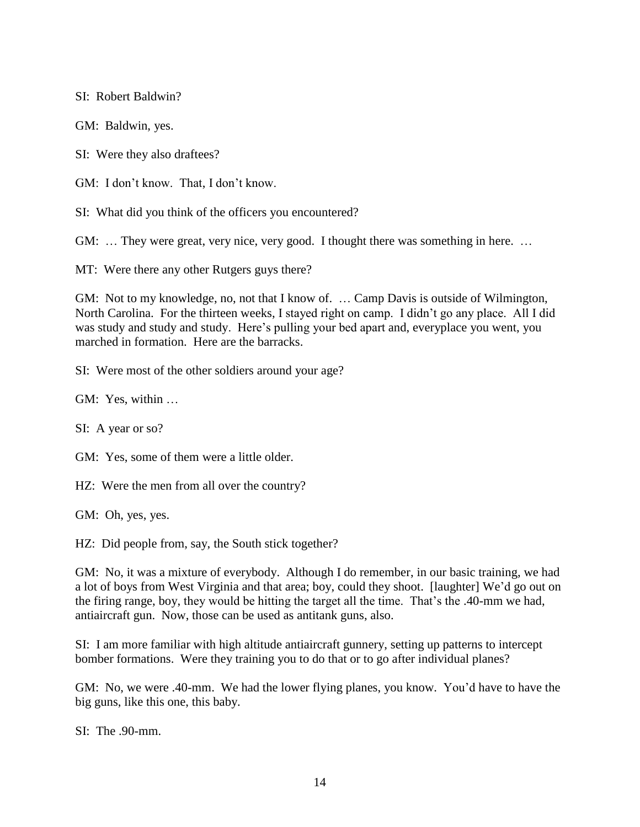SI: Robert Baldwin?

GM: Baldwin, yes.

SI: Were they also draftees?

GM: I don't know. That, I don't know.

SI: What did you think of the officers you encountered?

GM: … They were great, very nice, very good. I thought there was something in here. …

MT: Were there any other Rutgers guys there?

GM: Not to my knowledge, no, not that I know of. … Camp Davis is outside of Wilmington, North Carolina. For the thirteen weeks, I stayed right on camp. I didn't go any place. All I did was study and study and study. Here's pulling your bed apart and, everyplace you went, you marched in formation. Here are the barracks.

SI: Were most of the other soldiers around your age?

GM: Yes, within …

SI: A year or so?

GM: Yes, some of them were a little older.

HZ: Were the men from all over the country?

GM: Oh, yes, yes.

HZ: Did people from, say, the South stick together?

GM: No, it was a mixture of everybody. Although I do remember, in our basic training, we had a lot of boys from West Virginia and that area; boy, could they shoot. [laughter] We'd go out on the firing range, boy, they would be hitting the target all the time. That's the .40-mm we had, antiaircraft gun. Now, those can be used as antitank guns, also.

SI: I am more familiar with high altitude antiaircraft gunnery, setting up patterns to intercept bomber formations. Were they training you to do that or to go after individual planes?

GM: No, we were .40-mm. We had the lower flying planes, you know. You'd have to have the big guns, like this one, this baby.

SI: The .90-mm.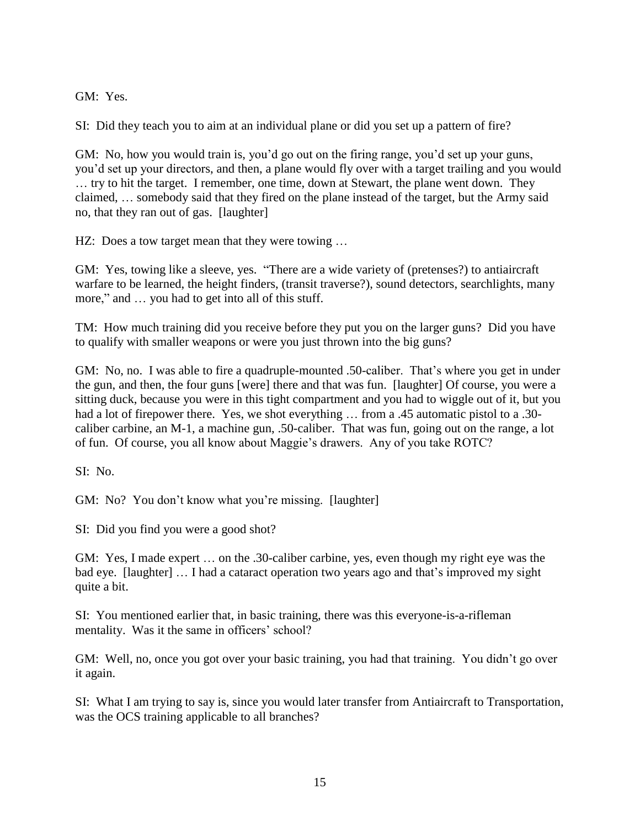GM: Yes.

SI: Did they teach you to aim at an individual plane or did you set up a pattern of fire?

GM: No, how you would train is, you'd go out on the firing range, you'd set up your guns, you'd set up your directors, and then, a plane would fly over with a target trailing and you would … try to hit the target. I remember, one time, down at Stewart, the plane went down. They claimed, … somebody said that they fired on the plane instead of the target, but the Army said no, that they ran out of gas. [laughter]

HZ: Does a tow target mean that they were towing ...

GM: Yes, towing like a sleeve, yes. "There are a wide variety of (pretenses?) to antiaircraft warfare to be learned, the height finders, (transit traverse?), sound detectors, searchlights, many more," and … you had to get into all of this stuff.

TM: How much training did you receive before they put you on the larger guns? Did you have to qualify with smaller weapons or were you just thrown into the big guns?

GM: No, no. I was able to fire a quadruple-mounted .50-caliber. That's where you get in under the gun, and then, the four guns [were] there and that was fun. [laughter] Of course, you were a sitting duck, because you were in this tight compartment and you had to wiggle out of it, but you had a lot of firepower there. Yes, we shot everything ... from a .45 automatic pistol to a .30caliber carbine, an M-1, a machine gun, .50-caliber. That was fun, going out on the range, a lot of fun. Of course, you all know about Maggie's drawers. Any of you take ROTC?

SI: No.

GM: No? You don't know what you're missing. [laughter]

SI: Did you find you were a good shot?

GM: Yes, I made expert … on the .30-caliber carbine, yes, even though my right eye was the bad eye. [laughter] … I had a cataract operation two years ago and that's improved my sight quite a bit.

SI: You mentioned earlier that, in basic training, there was this everyone-is-a-rifleman mentality. Was it the same in officers' school?

GM: Well, no, once you got over your basic training, you had that training. You didn't go over it again.

SI: What I am trying to say is, since you would later transfer from Antiaircraft to Transportation, was the OCS training applicable to all branches?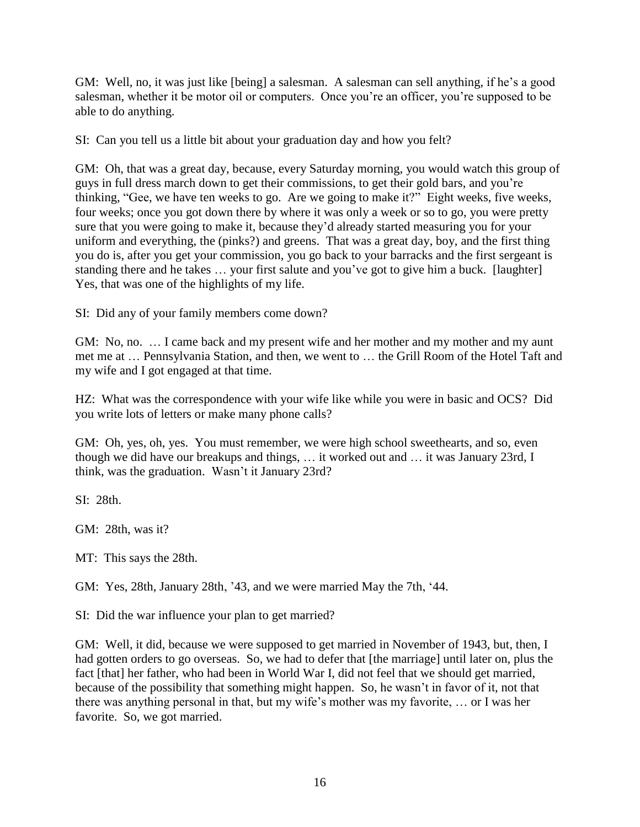GM: Well, no, it was just like [being] a salesman. A salesman can sell anything, if he's a good salesman, whether it be motor oil or computers. Once you're an officer, you're supposed to be able to do anything.

SI: Can you tell us a little bit about your graduation day and how you felt?

GM: Oh, that was a great day, because, every Saturday morning, you would watch this group of guys in full dress march down to get their commissions, to get their gold bars, and you're thinking, "Gee, we have ten weeks to go. Are we going to make it?" Eight weeks, five weeks, four weeks; once you got down there by where it was only a week or so to go, you were pretty sure that you were going to make it, because they'd already started measuring you for your uniform and everything, the (pinks?) and greens. That was a great day, boy, and the first thing you do is, after you get your commission, you go back to your barracks and the first sergeant is standing there and he takes … your first salute and you've got to give him a buck. [laughter] Yes, that was one of the highlights of my life.

SI: Did any of your family members come down?

GM: No, no. … I came back and my present wife and her mother and my mother and my aunt met me at … Pennsylvania Station, and then, we went to … the Grill Room of the Hotel Taft and my wife and I got engaged at that time.

HZ: What was the correspondence with your wife like while you were in basic and OCS? Did you write lots of letters or make many phone calls?

GM: Oh, yes, oh, yes. You must remember, we were high school sweethearts, and so, even though we did have our breakups and things, … it worked out and … it was January 23rd, I think, was the graduation. Wasn't it January 23rd?

SI: 28th.

GM: 28th, was it?

MT: This says the 28th.

GM: Yes, 28th, January 28th, '43, and we were married May the 7th, '44.

SI: Did the war influence your plan to get married?

GM: Well, it did, because we were supposed to get married in November of 1943, but, then, I had gotten orders to go overseas. So, we had to defer that [the marriage] until later on, plus the fact [that] her father, who had been in World War I, did not feel that we should get married, because of the possibility that something might happen. So, he wasn't in favor of it, not that there was anything personal in that, but my wife's mother was my favorite, … or I was her favorite. So, we got married.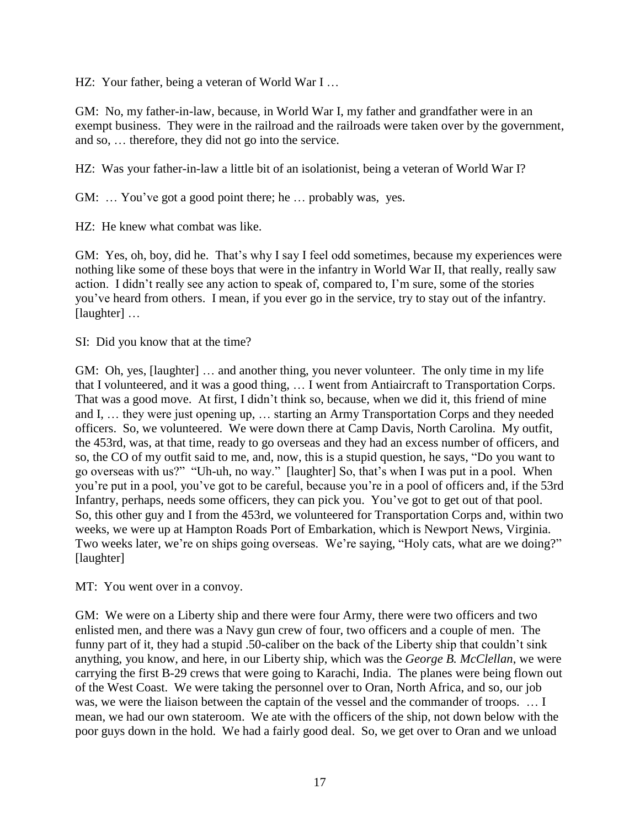HZ: Your father, being a veteran of World War I ...

GM: No, my father-in-law, because, in World War I, my father and grandfather were in an exempt business. They were in the railroad and the railroads were taken over by the government, and so, … therefore, they did not go into the service.

HZ: Was your father-in-law a little bit of an isolationist, being a veteran of World War I?

GM: ... You've got a good point there; he ... probably was, yes.

HZ: He knew what combat was like.

GM: Yes, oh, boy, did he. That's why I say I feel odd sometimes, because my experiences were nothing like some of these boys that were in the infantry in World War II, that really, really saw action. I didn't really see any action to speak of, compared to, I'm sure, some of the stories you've heard from others. I mean, if you ever go in the service, try to stay out of the infantry. [laughter] ...

SI: Did you know that at the time?

GM: Oh, yes, [laughter] … and another thing, you never volunteer. The only time in my life that I volunteered, and it was a good thing, … I went from Antiaircraft to Transportation Corps. That was a good move. At first, I didn't think so, because, when we did it, this friend of mine and I, … they were just opening up, … starting an Army Transportation Corps and they needed officers. So, we volunteered. We were down there at Camp Davis, North Carolina. My outfit, the 453rd, was, at that time, ready to go overseas and they had an excess number of officers, and so, the CO of my outfit said to me, and, now, this is a stupid question, he says, "Do you want to go overseas with us?" "Uh-uh, no way." [laughter] So, that's when I was put in a pool. When you're put in a pool, you've got to be careful, because you're in a pool of officers and, if the 53rd Infantry, perhaps, needs some officers, they can pick you. You've got to get out of that pool. So, this other guy and I from the 453rd, we volunteered for Transportation Corps and, within two weeks, we were up at Hampton Roads Port of Embarkation, which is Newport News, Virginia. Two weeks later, we're on ships going overseas. We're saying, "Holy cats, what are we doing?" [laughter]

MT: You went over in a convoy.

GM: We were on a Liberty ship and there were four Army, there were two officers and two enlisted men, and there was a Navy gun crew of four, two officers and a couple of men. The funny part of it, they had a stupid .50-caliber on the back of the Liberty ship that couldn't sink anything, you know, and here, in our Liberty ship, which was the *George B. McClellan*, we were carrying the first B-29 crews that were going to Karachi, India. The planes were being flown out of the West Coast. We were taking the personnel over to Oran, North Africa, and so, our job was, we were the liaison between the captain of the vessel and the commander of troops. … I mean, we had our own stateroom. We ate with the officers of the ship, not down below with the poor guys down in the hold. We had a fairly good deal. So, we get over to Oran and we unload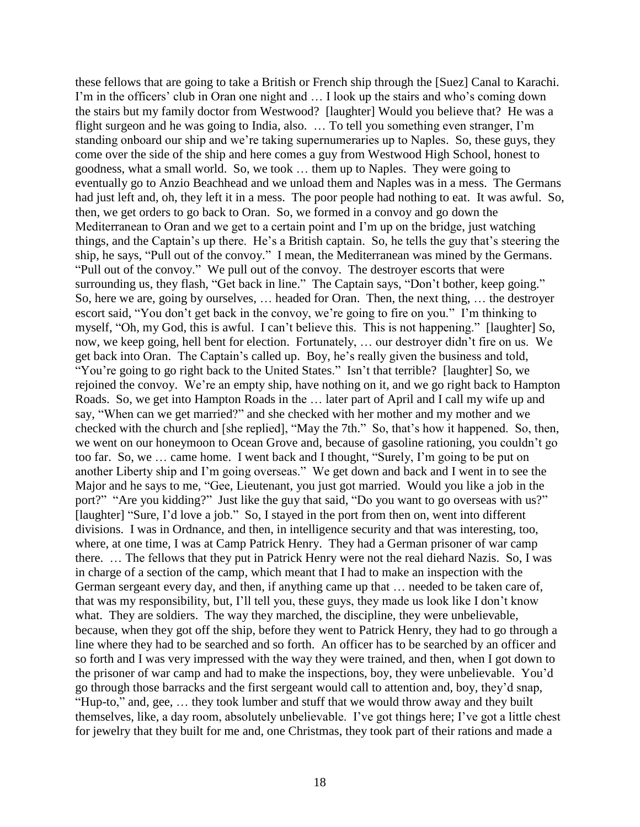these fellows that are going to take a British or French ship through the [Suez] Canal to Karachi. I'm in the officers' club in Oran one night and … I look up the stairs and who's coming down the stairs but my family doctor from Westwood? [laughter] Would you believe that? He was a flight surgeon and he was going to India, also. … To tell you something even stranger, I'm standing onboard our ship and we're taking supernumeraries up to Naples. So, these guys, they come over the side of the ship and here comes a guy from Westwood High School, honest to goodness, what a small world. So, we took … them up to Naples. They were going to eventually go to Anzio Beachhead and we unload them and Naples was in a mess. The Germans had just left and, oh, they left it in a mess. The poor people had nothing to eat. It was awful. So, then, we get orders to go back to Oran. So, we formed in a convoy and go down the Mediterranean to Oran and we get to a certain point and I'm up on the bridge, just watching things, and the Captain's up there. He's a British captain. So, he tells the guy that's steering the ship, he says, "Pull out of the convoy." I mean, the Mediterranean was mined by the Germans. "Pull out of the convoy." We pull out of the convoy. The destroyer escorts that were surrounding us, they flash, "Get back in line." The Captain says, "Don't bother, keep going." So, here we are, going by ourselves, … headed for Oran. Then, the next thing, … the destroyer escort said, "You don't get back in the convoy, we're going to fire on you." I'm thinking to myself, "Oh, my God, this is awful. I can't believe this. This is not happening." [laughter] So, now, we keep going, hell bent for election. Fortunately, … our destroyer didn't fire on us. We get back into Oran. The Captain's called up. Boy, he's really given the business and told, "You're going to go right back to the United States." Isn't that terrible? [laughter] So, we rejoined the convoy. We're an empty ship, have nothing on it, and we go right back to Hampton Roads. So, we get into Hampton Roads in the … later part of April and I call my wife up and say, "When can we get married?" and she checked with her mother and my mother and we checked with the church and [she replied], "May the 7th." So, that's how it happened. So, then, we went on our honeymoon to Ocean Grove and, because of gasoline rationing, you couldn't go too far. So, we … came home. I went back and I thought, "Surely, I'm going to be put on another Liberty ship and I'm going overseas." We get down and back and I went in to see the Major and he says to me, "Gee, Lieutenant, you just got married. Would you like a job in the port?" "Are you kidding?" Just like the guy that said, "Do you want to go overseas with us?" [laughter] "Sure, I'd love a job." So, I stayed in the port from then on, went into different divisions. I was in Ordnance, and then, in intelligence security and that was interesting, too, where, at one time, I was at Camp Patrick Henry. They had a German prisoner of war camp there. … The fellows that they put in Patrick Henry were not the real diehard Nazis. So, I was in charge of a section of the camp, which meant that I had to make an inspection with the German sergeant every day, and then, if anything came up that … needed to be taken care of, that was my responsibility, but, I'll tell you, these guys, they made us look like I don't know what. They are soldiers. The way they marched, the discipline, they were unbelievable, because, when they got off the ship, before they went to Patrick Henry, they had to go through a line where they had to be searched and so forth. An officer has to be searched by an officer and so forth and I was very impressed with the way they were trained, and then, when I got down to the prisoner of war camp and had to make the inspections, boy, they were unbelievable. You'd go through those barracks and the first sergeant would call to attention and, boy, they'd snap, "Hup-to," and, gee, … they took lumber and stuff that we would throw away and they built themselves, like, a day room, absolutely unbelievable. I've got things here; I've got a little chest for jewelry that they built for me and, one Christmas, they took part of their rations and made a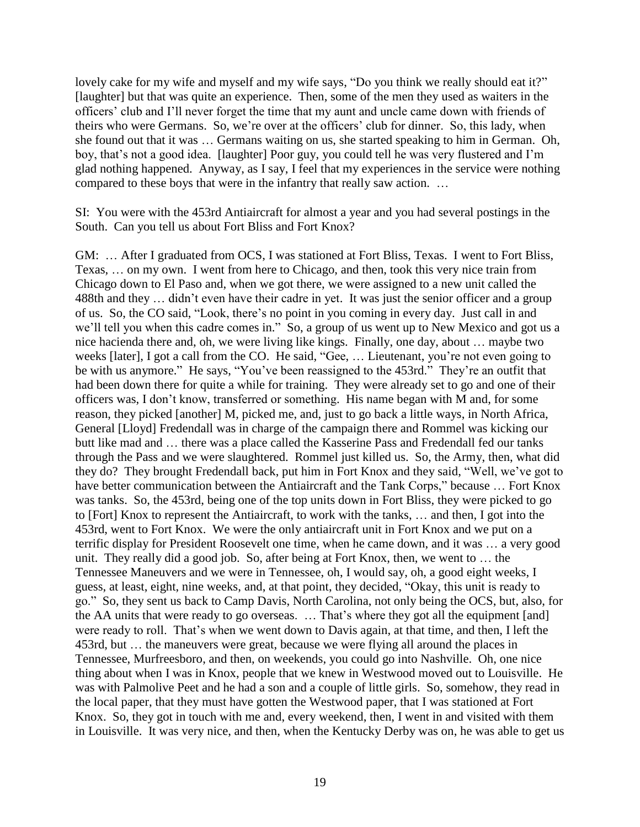lovely cake for my wife and myself and my wife says, "Do you think we really should eat it?" [laughter] but that was quite an experience. Then, some of the men they used as waiters in the officers' club and I'll never forget the time that my aunt and uncle came down with friends of theirs who were Germans. So, we're over at the officers' club for dinner. So, this lady, when she found out that it was … Germans waiting on us, she started speaking to him in German. Oh, boy, that's not a good idea. [laughter] Poor guy, you could tell he was very flustered and I'm glad nothing happened. Anyway, as I say, I feel that my experiences in the service were nothing compared to these boys that were in the infantry that really saw action. …

SI: You were with the 453rd Antiaircraft for almost a year and you had several postings in the South. Can you tell us about Fort Bliss and Fort Knox?

GM: … After I graduated from OCS, I was stationed at Fort Bliss, Texas. I went to Fort Bliss, Texas, … on my own. I went from here to Chicago, and then, took this very nice train from Chicago down to El Paso and, when we got there, we were assigned to a new unit called the 488th and they … didn't even have their cadre in yet. It was just the senior officer and a group of us. So, the CO said, "Look, there's no point in you coming in every day. Just call in and we'll tell you when this cadre comes in." So, a group of us went up to New Mexico and got us a nice hacienda there and, oh, we were living like kings. Finally, one day, about … maybe two weeks [later], I got a call from the CO. He said, "Gee, … Lieutenant, you're not even going to be with us anymore." He says, "You've been reassigned to the 453rd." They're an outfit that had been down there for quite a while for training. They were already set to go and one of their officers was, I don't know, transferred or something. His name began with M and, for some reason, they picked [another] M, picked me, and, just to go back a little ways, in North Africa, General [Lloyd] Fredendall was in charge of the campaign there and Rommel was kicking our butt like mad and … there was a place called the Kasserine Pass and Fredendall fed our tanks through the Pass and we were slaughtered. Rommel just killed us. So, the Army, then, what did they do? They brought Fredendall back, put him in Fort Knox and they said, "Well, we've got to have better communication between the Antiaircraft and the Tank Corps," because ... Fort Knox was tanks. So, the 453rd, being one of the top units down in Fort Bliss, they were picked to go to [Fort] Knox to represent the Antiaircraft, to work with the tanks, … and then, I got into the 453rd, went to Fort Knox. We were the only antiaircraft unit in Fort Knox and we put on a terrific display for President Roosevelt one time, when he came down, and it was … a very good unit. They really did a good job. So, after being at Fort Knox, then, we went to … the Tennessee Maneuvers and we were in Tennessee, oh, I would say, oh, a good eight weeks, I guess, at least, eight, nine weeks, and, at that point, they decided, "Okay, this unit is ready to go." So, they sent us back to Camp Davis, North Carolina, not only being the OCS, but, also, for the AA units that were ready to go overseas. … That's where they got all the equipment [and] were ready to roll. That's when we went down to Davis again, at that time, and then, I left the 453rd, but … the maneuvers were great, because we were flying all around the places in Tennessee, Murfreesboro, and then, on weekends, you could go into Nashville. Oh, one nice thing about when I was in Knox, people that we knew in Westwood moved out to Louisville. He was with Palmolive Peet and he had a son and a couple of little girls. So, somehow, they read in the local paper, that they must have gotten the Westwood paper, that I was stationed at Fort Knox. So, they got in touch with me and, every weekend, then, I went in and visited with them in Louisville. It was very nice, and then, when the Kentucky Derby was on, he was able to get us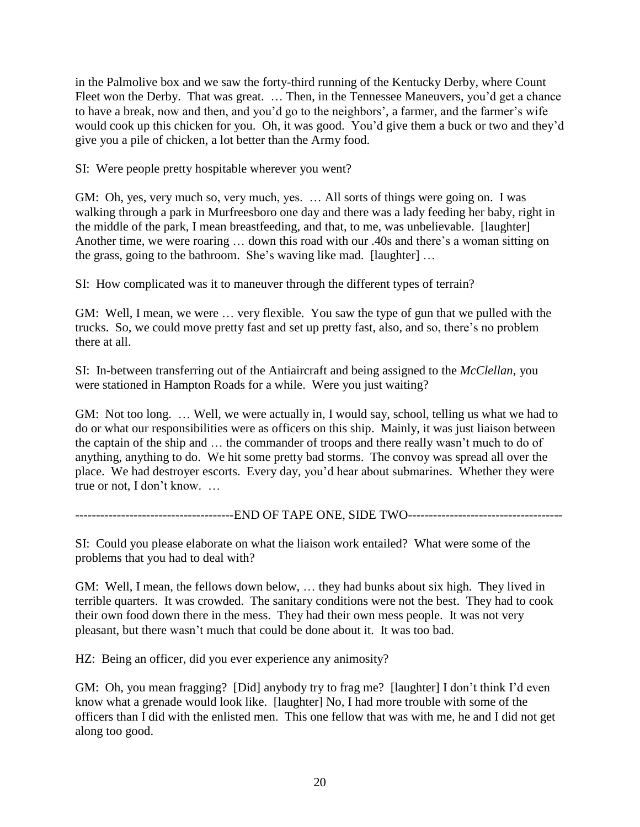in the Palmolive box and we saw the forty-third running of the Kentucky Derby, where Count Fleet won the Derby. That was great. ... Then, in the Tennessee Maneuvers, you'd get a chance to have a break, now and then, and you'd go to the neighbors', a farmer, and the farmer's wife would cook up this chicken for you. Oh, it was good. You'd give them a buck or two and they'd give you a pile of chicken, a lot better than the Army food.

SI: Were people pretty hospitable wherever you went?

GM: Oh, yes, very much so, very much, yes. … All sorts of things were going on. I was walking through a park in Murfreesboro one day and there was a lady feeding her baby, right in the middle of the park, I mean breastfeeding, and that, to me, was unbelievable. [laughter] Another time, we were roaring … down this road with our .40s and there's a woman sitting on the grass, going to the bathroom. She's waving like mad. [laughter] …

SI: How complicated was it to maneuver through the different types of terrain?

GM: Well, I mean, we were … very flexible. You saw the type of gun that we pulled with the trucks. So, we could move pretty fast and set up pretty fast, also, and so, there's no problem there at all.

SI: In-between transferring out of the Antiaircraft and being assigned to the *McClellan*, you were stationed in Hampton Roads for a while. Were you just waiting?

GM: Not too long. … Well, we were actually in, I would say, school, telling us what we had to do or what our responsibilities were as officers on this ship. Mainly, it was just liaison between the captain of the ship and … the commander of troops and there really wasn't much to do of anything, anything to do. We hit some pretty bad storms. The convoy was spread all over the place. We had destroyer escorts. Every day, you'd hear about submarines. Whether they were true or not, I don't know. …

----------------------------END OF TAPE ONE, SIDE TWO-----------------------------------

SI: Could you please elaborate on what the liaison work entailed? What were some of the problems that you had to deal with?

GM: Well, I mean, the fellows down below, … they had bunks about six high. They lived in terrible quarters. It was crowded. The sanitary conditions were not the best. They had to cook their own food down there in the mess. They had their own mess people. It was not very pleasant, but there wasn't much that could be done about it. It was too bad.

HZ: Being an officer, did you ever experience any animosity?

GM: Oh, you mean fragging? [Did] anybody try to frag me? [laughter] I don't think I'd even know what a grenade would look like. [laughter] No, I had more trouble with some of the officers than I did with the enlisted men. This one fellow that was with me, he and I did not get along too good.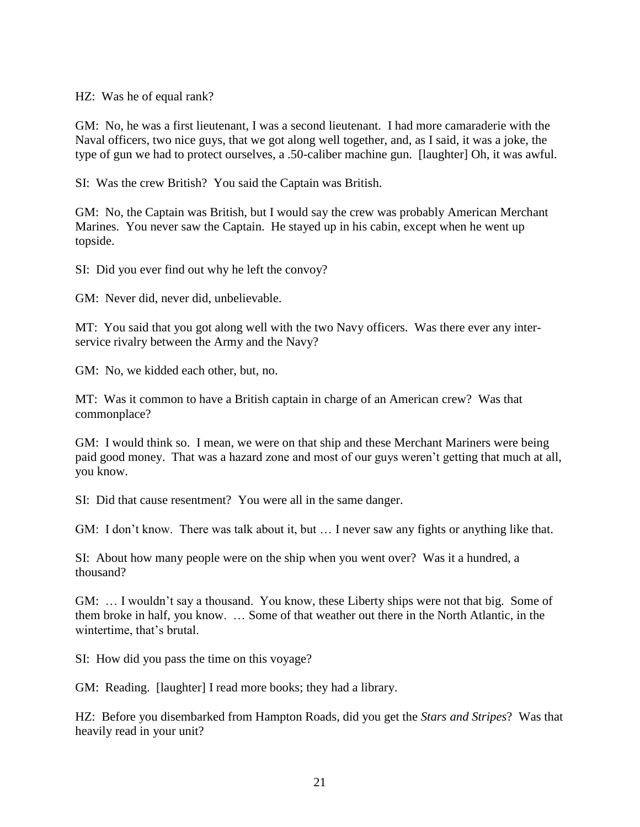HZ: Was he of equal rank?

GM: No, he was a first lieutenant, I was a second lieutenant. I had more camaraderie with the Naval officers, two nice guys, that we got along well together, and, as I said, it was a joke, the type of gun we had to protect ourselves, a .50-caliber machine gun. [laughter] Oh, it was awful.

SI: Was the crew British? You said the Captain was British.

GM: No, the Captain was British, but I would say the crew was probably American Merchant Marines. You never saw the Captain. He stayed up in his cabin, except when he went up topside.

SI: Did you ever find out why he left the convoy?

GM: Never did, never did, unbelievable.

MT: You said that you got along well with the two Navy officers. Was there ever any interservice rivalry between the Army and the Navy?

GM: No, we kidded each other, but, no.

MT: Was it common to have a British captain in charge of an American crew? Was that commonplace?

GM: I would think so. I mean, we were on that ship and these Merchant Mariners were being paid good money. That was a hazard zone and most of our guys weren't getting that much at all, you know.

SI: Did that cause resentment? You were all in the same danger.

GM: I don't know. There was talk about it, but … I never saw any fights or anything like that.

SI: About how many people were on the ship when you went over? Was it a hundred, a thousand?

GM: … I wouldn't say a thousand. You know, these Liberty ships were not that big. Some of them broke in half, you know. … Some of that weather out there in the North Atlantic, in the wintertime, that's brutal.

SI: How did you pass the time on this voyage?

GM: Reading. [laughter] I read more books; they had a library.

HZ: Before you disembarked from Hampton Roads, did you get the *Stars and Stripes*? Was that heavily read in your unit?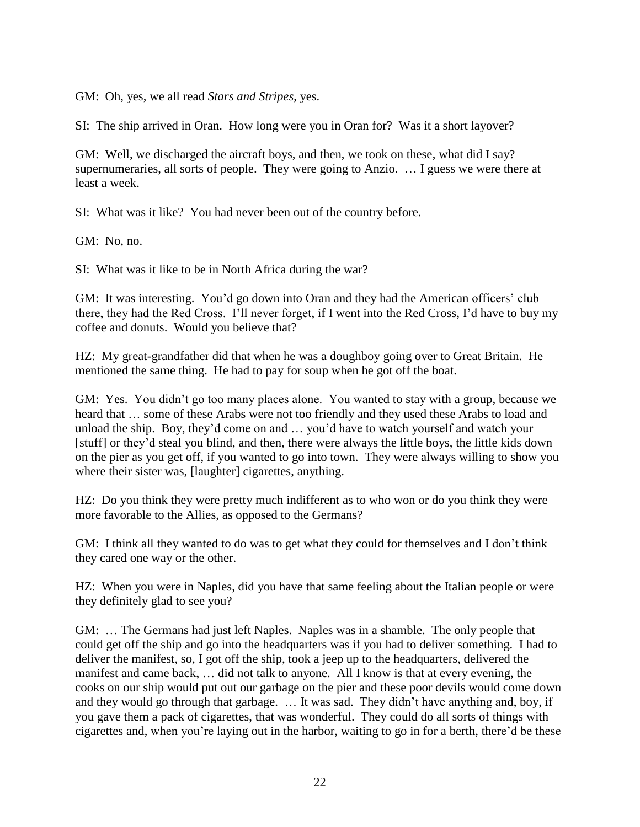GM: Oh, yes, we all read *Stars and Stripes*, yes.

SI: The ship arrived in Oran. How long were you in Oran for? Was it a short layover?

GM: Well, we discharged the aircraft boys, and then, we took on these, what did I say? supernumeraries, all sorts of people. They were going to Anzio. … I guess we were there at least a week.

SI: What was it like? You had never been out of the country before.

GM: No, no.

SI: What was it like to be in North Africa during the war?

GM: It was interesting. You'd go down into Oran and they had the American officers' club there, they had the Red Cross. I'll never forget, if I went into the Red Cross, I'd have to buy my coffee and donuts. Would you believe that?

HZ: My great-grandfather did that when he was a doughboy going over to Great Britain. He mentioned the same thing. He had to pay for soup when he got off the boat.

GM: Yes. You didn't go too many places alone. You wanted to stay with a group, because we heard that … some of these Arabs were not too friendly and they used these Arabs to load and unload the ship. Boy, they'd come on and … you'd have to watch yourself and watch your [stuff] or they'd steal you blind, and then, there were always the little boys, the little kids down on the pier as you get off, if you wanted to go into town. They were always willing to show you where their sister was, [laughter] cigarettes, anything.

HZ: Do you think they were pretty much indifferent as to who won or do you think they were more favorable to the Allies, as opposed to the Germans?

GM: I think all they wanted to do was to get what they could for themselves and I don't think they cared one way or the other.

HZ: When you were in Naples, did you have that same feeling about the Italian people or were they definitely glad to see you?

GM: … The Germans had just left Naples. Naples was in a shamble. The only people that could get off the ship and go into the headquarters was if you had to deliver something. I had to deliver the manifest, so, I got off the ship, took a jeep up to the headquarters, delivered the manifest and came back, … did not talk to anyone. All I know is that at every evening, the cooks on our ship would put out our garbage on the pier and these poor devils would come down and they would go through that garbage. … It was sad. They didn't have anything and, boy, if you gave them a pack of cigarettes, that was wonderful. They could do all sorts of things with cigarettes and, when you're laying out in the harbor, waiting to go in for a berth, there'd be these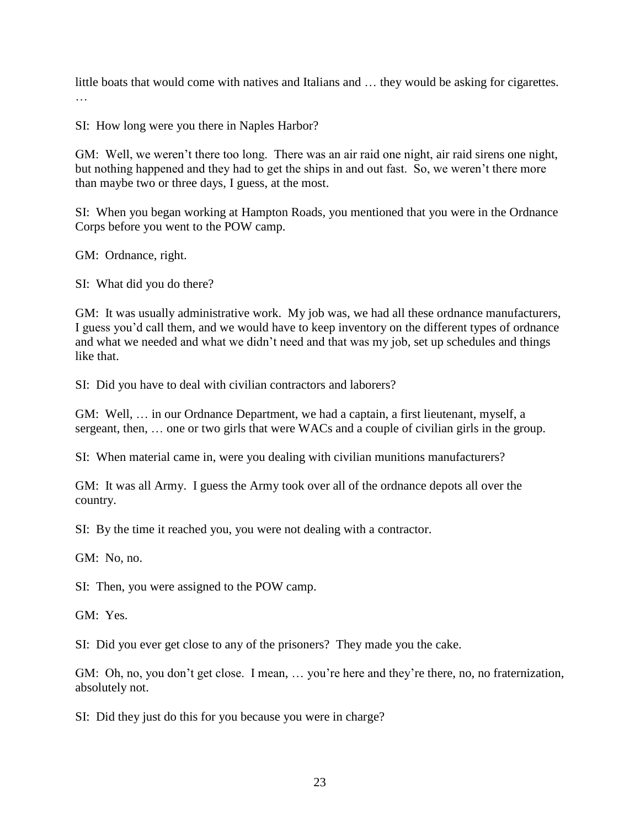little boats that would come with natives and Italians and … they would be asking for cigarettes. …

SI: How long were you there in Naples Harbor?

GM: Well, we weren't there too long. There was an air raid one night, air raid sirens one night, but nothing happened and they had to get the ships in and out fast. So, we weren't there more than maybe two or three days, I guess, at the most.

SI: When you began working at Hampton Roads, you mentioned that you were in the Ordnance Corps before you went to the POW camp.

GM: Ordnance, right.

SI: What did you do there?

GM: It was usually administrative work. My job was, we had all these ordnance manufacturers, I guess you'd call them, and we would have to keep inventory on the different types of ordnance and what we needed and what we didn't need and that was my job, set up schedules and things like that.

SI: Did you have to deal with civilian contractors and laborers?

GM: Well, … in our Ordnance Department, we had a captain, a first lieutenant, myself, a sergeant, then, … one or two girls that were WACs and a couple of civilian girls in the group.

SI: When material came in, were you dealing with civilian munitions manufacturers?

GM: It was all Army. I guess the Army took over all of the ordnance depots all over the country.

SI: By the time it reached you, you were not dealing with a contractor.

GM: No, no.

SI: Then, you were assigned to the POW camp.

GM: Yes.

SI: Did you ever get close to any of the prisoners? They made you the cake.

GM: Oh, no, you don't get close. I mean, ... you're here and they're there, no, no fraternization, absolutely not.

SI: Did they just do this for you because you were in charge?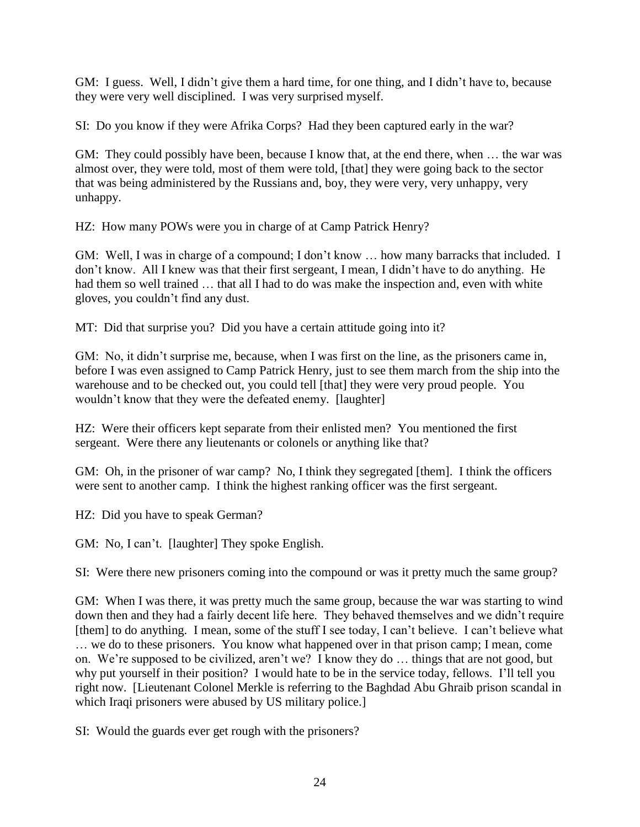GM: I guess. Well, I didn't give them a hard time, for one thing, and I didn't have to, because they were very well disciplined. I was very surprised myself.

SI: Do you know if they were Afrika Corps? Had they been captured early in the war?

GM: They could possibly have been, because I know that, at the end there, when … the war was almost over, they were told, most of them were told, [that] they were going back to the sector that was being administered by the Russians and, boy, they were very, very unhappy, very unhappy.

HZ: How many POWs were you in charge of at Camp Patrick Henry?

GM: Well, I was in charge of a compound; I don't know ... how many barracks that included. I don't know. All I knew was that their first sergeant, I mean, I didn't have to do anything. He had them so well trained ... that all I had to do was make the inspection and, even with white gloves, you couldn't find any dust.

MT: Did that surprise you? Did you have a certain attitude going into it?

GM: No, it didn't surprise me, because, when I was first on the line, as the prisoners came in, before I was even assigned to Camp Patrick Henry, just to see them march from the ship into the warehouse and to be checked out, you could tell [that] they were very proud people. You wouldn't know that they were the defeated enemy. [laughter]

HZ: Were their officers kept separate from their enlisted men? You mentioned the first sergeant. Were there any lieutenants or colonels or anything like that?

GM: Oh, in the prisoner of war camp? No, I think they segregated [them]. I think the officers were sent to another camp. I think the highest ranking officer was the first sergeant.

HZ: Did you have to speak German?

GM: No, I can't. [laughter] They spoke English.

SI: Were there new prisoners coming into the compound or was it pretty much the same group?

GM: When I was there, it was pretty much the same group, because the war was starting to wind down then and they had a fairly decent life here. They behaved themselves and we didn't require [them] to do anything. I mean, some of the stuff I see today, I can't believe. I can't believe what … we do to these prisoners. You know what happened over in that prison camp; I mean, come on. We're supposed to be civilized, aren't we? I know they do … things that are not good, but why put yourself in their position? I would hate to be in the service today, fellows. I'll tell you right now. [Lieutenant Colonel Merkle is referring to the Baghdad Abu Ghraib prison scandal in which Iraqi prisoners were abused by US military police.

SI: Would the guards ever get rough with the prisoners?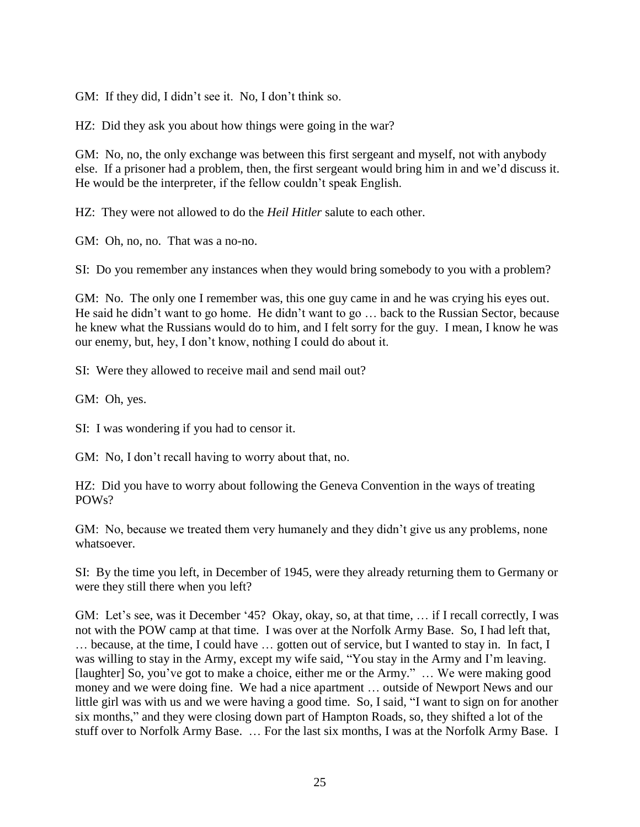GM: If they did, I didn't see it. No, I don't think so.

HZ: Did they ask you about how things were going in the war?

GM: No, no, the only exchange was between this first sergeant and myself, not with anybody else. If a prisoner had a problem, then, the first sergeant would bring him in and we'd discuss it. He would be the interpreter, if the fellow couldn't speak English.

HZ: They were not allowed to do the *Heil Hitler* salute to each other.

GM: Oh, no, no. That was a no-no.

SI: Do you remember any instances when they would bring somebody to you with a problem?

GM: No. The only one I remember was, this one guy came in and he was crying his eyes out. He said he didn't want to go home. He didn't want to go … back to the Russian Sector, because he knew what the Russians would do to him, and I felt sorry for the guy. I mean, I know he was our enemy, but, hey, I don't know, nothing I could do about it.

SI: Were they allowed to receive mail and send mail out?

GM: Oh, yes.

SI: I was wondering if you had to censor it.

GM: No, I don't recall having to worry about that, no.

HZ: Did you have to worry about following the Geneva Convention in the ways of treating POWs?

GM: No, because we treated them very humanely and they didn't give us any problems, none whatsoever.

SI: By the time you left, in December of 1945, were they already returning them to Germany or were they still there when you left?

GM: Let's see, was it December '45? Okay, okay, so, at that time, … if I recall correctly, I was not with the POW camp at that time. I was over at the Norfolk Army Base. So, I had left that, … because, at the time, I could have … gotten out of service, but I wanted to stay in. In fact, I was willing to stay in the Army, except my wife said, "You stay in the Army and I'm leaving. [laughter] So, you've got to make a choice, either me or the Army." … We were making good money and we were doing fine. We had a nice apartment … outside of Newport News and our little girl was with us and we were having a good time. So, I said, "I want to sign on for another six months," and they were closing down part of Hampton Roads, so, they shifted a lot of the stuff over to Norfolk Army Base. … For the last six months, I was at the Norfolk Army Base. I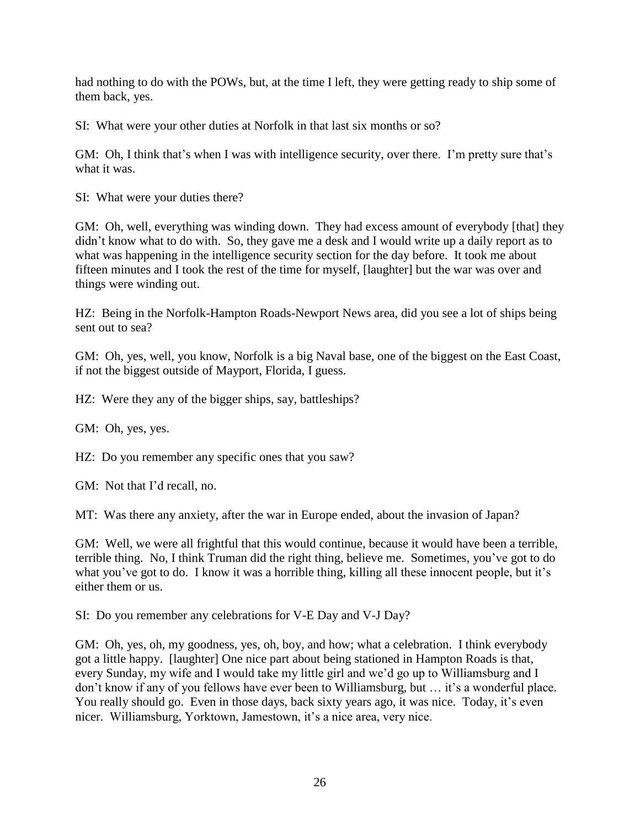had nothing to do with the POWs, but, at the time I left, they were getting ready to ship some of them back, yes.

SI: What were your other duties at Norfolk in that last six months or so?

GM: Oh, I think that's when I was with intelligence security, over there. I'm pretty sure that's what it was.

SI: What were your duties there?

GM: Oh, well, everything was winding down. They had excess amount of everybody [that] they didn't know what to do with. So, they gave me a desk and I would write up a daily report as to what was happening in the intelligence security section for the day before. It took me about fifteen minutes and I took the rest of the time for myself, [laughter] but the war was over and things were winding out.

HZ: Being in the Norfolk-Hampton Roads-Newport News area, did you see a lot of ships being sent out to sea?

GM: Oh, yes, well, you know, Norfolk is a big Naval base, one of the biggest on the East Coast, if not the biggest outside of Mayport, Florida, I guess.

HZ: Were they any of the bigger ships, say, battleships?

GM: Oh, yes, yes.

HZ: Do you remember any specific ones that you saw?

GM: Not that I'd recall, no.

MT: Was there any anxiety, after the war in Europe ended, about the invasion of Japan?

GM: Well, we were all frightful that this would continue, because it would have been a terrible, terrible thing. No, I think Truman did the right thing, believe me. Sometimes, you've got to do what you've got to do. I know it was a horrible thing, killing all these innocent people, but it's either them or us.

SI: Do you remember any celebrations for V-E Day and V-J Day?

GM: Oh, yes, oh, my goodness, yes, oh, boy, and how; what a celebration. I think everybody got a little happy. [laughter] One nice part about being stationed in Hampton Roads is that, every Sunday, my wife and I would take my little girl and we'd go up to Williamsburg and I don't know if any of you fellows have ever been to Williamsburg, but … it's a wonderful place. You really should go. Even in those days, back sixty years ago, it was nice. Today, it's even nicer. Williamsburg, Yorktown, Jamestown, it's a nice area, very nice.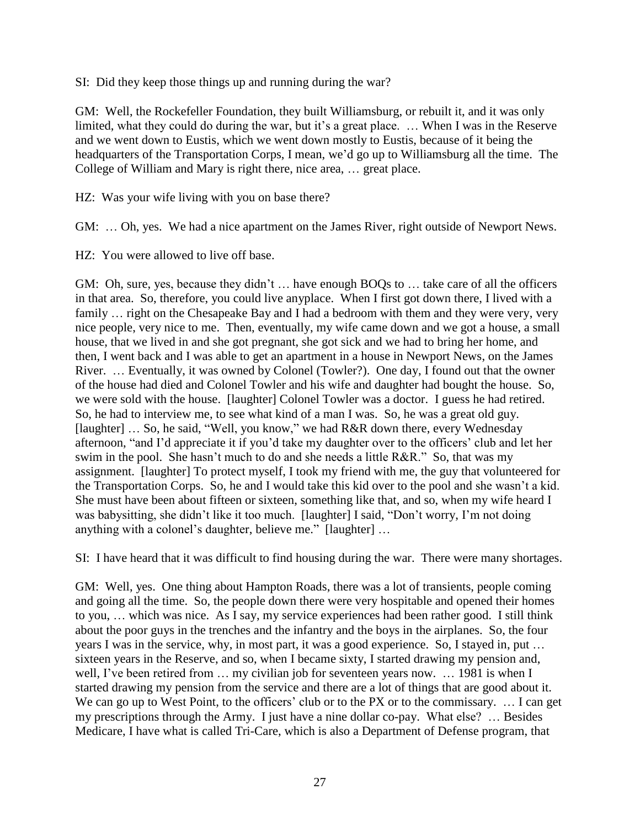SI: Did they keep those things up and running during the war?

GM: Well, the Rockefeller Foundation, they built Williamsburg, or rebuilt it, and it was only limited, what they could do during the war, but it's a great place. … When I was in the Reserve and we went down to Eustis, which we went down mostly to Eustis, because of it being the headquarters of the Transportation Corps, I mean, we'd go up to Williamsburg all the time. The College of William and Mary is right there, nice area, … great place.

HZ: Was your wife living with you on base there?

GM: … Oh, yes. We had a nice apartment on the James River, right outside of Newport News.

HZ: You were allowed to live off base.

GM: Oh, sure, yes, because they didn't … have enough BOQs to … take care of all the officers in that area. So, therefore, you could live anyplace. When I first got down there, I lived with a family ... right on the Chesapeake Bay and I had a bedroom with them and they were very, very nice people, very nice to me. Then, eventually, my wife came down and we got a house, a small house, that we lived in and she got pregnant, she got sick and we had to bring her home, and then, I went back and I was able to get an apartment in a house in Newport News, on the James River. … Eventually, it was owned by Colonel (Towler?). One day, I found out that the owner of the house had died and Colonel Towler and his wife and daughter had bought the house. So, we were sold with the house. [laughter] Colonel Towler was a doctor. I guess he had retired. So, he had to interview me, to see what kind of a man I was. So, he was a great old guy. [laughter] ... So, he said, "Well, you know," we had R&R down there, every Wednesday afternoon, "and I'd appreciate it if you'd take my daughter over to the officers' club and let her swim in the pool. She hasn't much to do and she needs a little R&R." So, that was my assignment. [laughter] To protect myself, I took my friend with me, the guy that volunteered for the Transportation Corps. So, he and I would take this kid over to the pool and she wasn't a kid. She must have been about fifteen or sixteen, something like that, and so, when my wife heard I was babysitting, she didn't like it too much. [laughter] I said, "Don't worry, I'm not doing anything with a colonel's daughter, believe me." [laughter] …

SI: I have heard that it was difficult to find housing during the war. There were many shortages.

GM: Well, yes. One thing about Hampton Roads, there was a lot of transients, people coming and going all the time. So, the people down there were very hospitable and opened their homes to you, … which was nice. As I say, my service experiences had been rather good. I still think about the poor guys in the trenches and the infantry and the boys in the airplanes. So, the four years I was in the service, why, in most part, it was a good experience. So, I stayed in, put … sixteen years in the Reserve, and so, when I became sixty, I started drawing my pension and, well, I've been retired from ... my civilian job for seventeen years now. ... 1981 is when I started drawing my pension from the service and there are a lot of things that are good about it. We can go up to West Point, to the officers' club or to the PX or to the commissary. ... I can get my prescriptions through the Army. I just have a nine dollar co-pay. What else? … Besides Medicare, I have what is called Tri-Care, which is also a Department of Defense program, that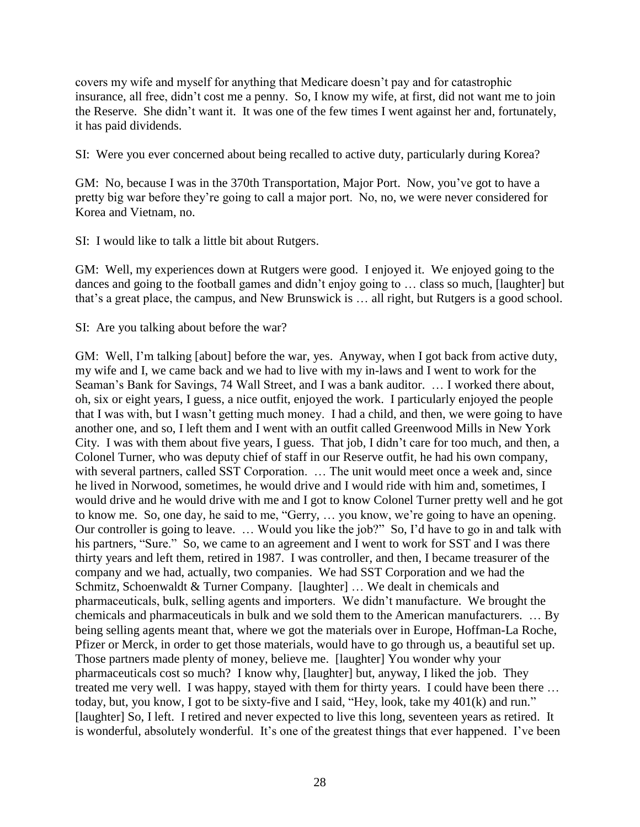covers my wife and myself for anything that Medicare doesn't pay and for catastrophic insurance, all free, didn't cost me a penny. So, I know my wife, at first, did not want me to join the Reserve. She didn't want it. It was one of the few times I went against her and, fortunately, it has paid dividends.

SI: Were you ever concerned about being recalled to active duty, particularly during Korea?

GM: No, because I was in the 370th Transportation, Major Port. Now, you've got to have a pretty big war before they're going to call a major port. No, no, we were never considered for Korea and Vietnam, no.

SI: I would like to talk a little bit about Rutgers.

GM: Well, my experiences down at Rutgers were good. I enjoyed it. We enjoyed going to the dances and going to the football games and didn't enjoy going to … class so much, [laughter] but that's a great place, the campus, and New Brunswick is … all right, but Rutgers is a good school.

SI: Are you talking about before the war?

GM: Well, I'm talking [about] before the war, yes. Anyway, when I got back from active duty, my wife and I, we came back and we had to live with my in-laws and I went to work for the Seaman's Bank for Savings, 74 Wall Street, and I was a bank auditor. … I worked there about, oh, six or eight years, I guess, a nice outfit, enjoyed the work. I particularly enjoyed the people that I was with, but I wasn't getting much money. I had a child, and then, we were going to have another one, and so, I left them and I went with an outfit called Greenwood Mills in New York City. I was with them about five years, I guess. That job, I didn't care for too much, and then, a Colonel Turner, who was deputy chief of staff in our Reserve outfit, he had his own company, with several partners, called SST Corporation. ... The unit would meet once a week and, since he lived in Norwood, sometimes, he would drive and I would ride with him and, sometimes, I would drive and he would drive with me and I got to know Colonel Turner pretty well and he got to know me. So, one day, he said to me, "Gerry, … you know, we're going to have an opening. Our controller is going to leave. … Would you like the job?" So, I'd have to go in and talk with his partners, "Sure." So, we came to an agreement and I went to work for SST and I was there thirty years and left them, retired in 1987. I was controller, and then, I became treasurer of the company and we had, actually, two companies. We had SST Corporation and we had the Schmitz, Schoenwaldt & Turner Company. [laughter] … We dealt in chemicals and pharmaceuticals, bulk, selling agents and importers. We didn't manufacture. We brought the chemicals and pharmaceuticals in bulk and we sold them to the American manufacturers. … By being selling agents meant that, where we got the materials over in Europe, Hoffman-La Roche, Pfizer or Merck, in order to get those materials, would have to go through us, a beautiful set up. Those partners made plenty of money, believe me. [laughter] You wonder why your pharmaceuticals cost so much? I know why, [laughter] but, anyway, I liked the job. They treated me very well. I was happy, stayed with them for thirty years. I could have been there … today, but, you know, I got to be sixty-five and I said, "Hey, look, take my 401(k) and run." [laughter] So, I left. I retired and never expected to live this long, seventeen years as retired. It is wonderful, absolutely wonderful. It's one of the greatest things that ever happened. I've been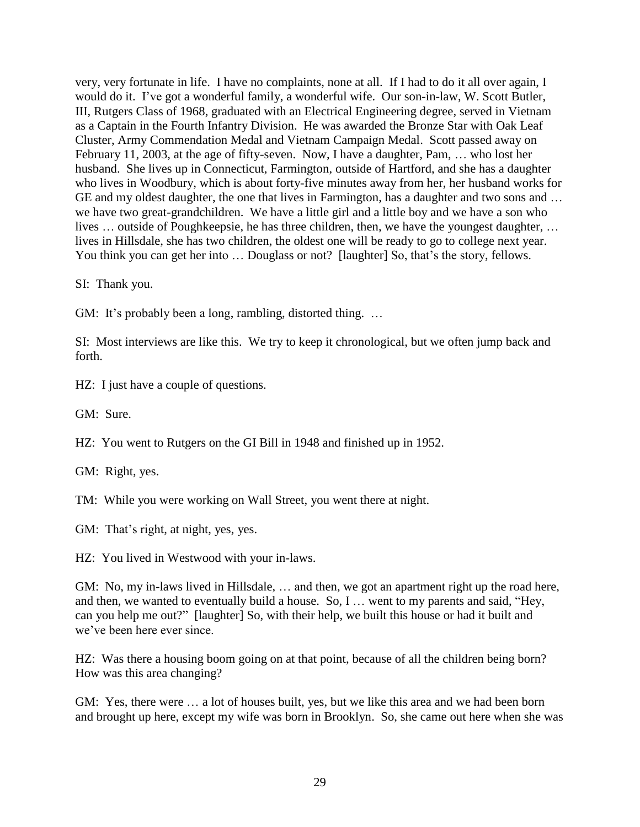very, very fortunate in life. I have no complaints, none at all. If I had to do it all over again, I would do it. I've got a wonderful family, a wonderful wife. Our son-in-law, W. Scott Butler, III, Rutgers Class of 1968, graduated with an Electrical Engineering degree, served in Vietnam as a Captain in the Fourth Infantry Division. He was awarded the Bronze Star with Oak Leaf Cluster, Army Commendation Medal and Vietnam Campaign Medal. Scott passed away on February 11, 2003, at the age of fifty-seven. Now, I have a daughter, Pam, … who lost her husband. She lives up in Connecticut, Farmington, outside of Hartford, and she has a daughter who lives in Woodbury, which is about forty-five minutes away from her, her husband works for GE and my oldest daughter, the one that lives in Farmington, has a daughter and two sons and … we have two great-grandchildren. We have a little girl and a little boy and we have a son who lives … outside of Poughkeepsie, he has three children, then, we have the youngest daughter, … lives in Hillsdale, she has two children, the oldest one will be ready to go to college next year. You think you can get her into ... Douglass or not? [laughter] So, that's the story, fellows.

SI: Thank you.

GM: It's probably been a long, rambling, distorted thing. ...

SI: Most interviews are like this. We try to keep it chronological, but we often jump back and forth.

HZ: I just have a couple of questions.

GM: Sure.

HZ: You went to Rutgers on the GI Bill in 1948 and finished up in 1952.

GM: Right, yes.

TM: While you were working on Wall Street, you went there at night.

GM: That's right, at night, yes, yes.

HZ: You lived in Westwood with your in-laws.

GM: No, my in-laws lived in Hillsdale, ... and then, we got an apartment right up the road here, and then, we wanted to eventually build a house. So, I … went to my parents and said, "Hey, can you help me out?" [laughter] So, with their help, we built this house or had it built and we've been here ever since.

HZ: Was there a housing boom going on at that point, because of all the children being born? How was this area changing?

GM: Yes, there were … a lot of houses built, yes, but we like this area and we had been born and brought up here, except my wife was born in Brooklyn. So, she came out here when she was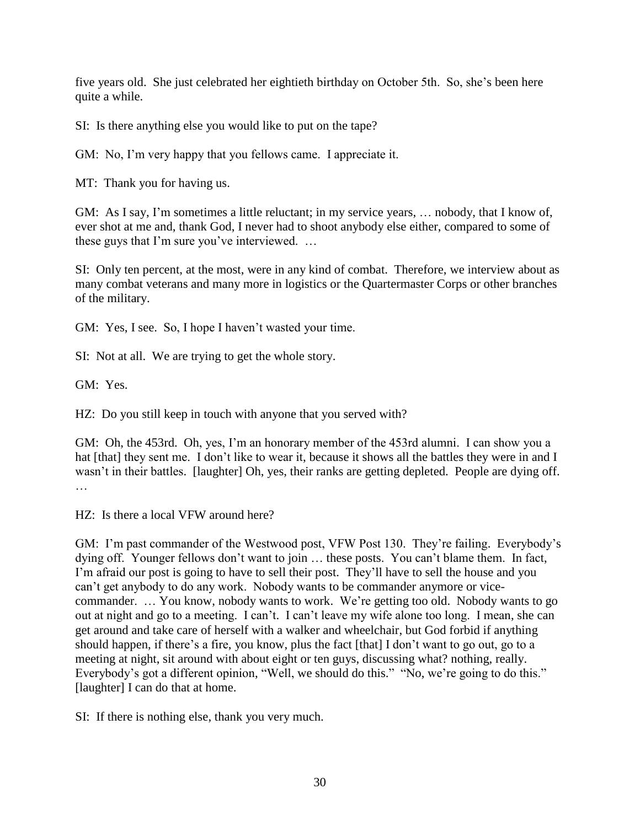five years old. She just celebrated her eightieth birthday on October 5th. So, she's been here quite a while.

SI: Is there anything else you would like to put on the tape?

GM: No, I'm very happy that you fellows came. I appreciate it.

MT: Thank you for having us.

GM: As I say, I'm sometimes a little reluctant; in my service years, … nobody, that I know of, ever shot at me and, thank God, I never had to shoot anybody else either, compared to some of these guys that I'm sure you've interviewed. …

SI: Only ten percent, at the most, were in any kind of combat. Therefore, we interview about as many combat veterans and many more in logistics or the Quartermaster Corps or other branches of the military.

GM: Yes, I see. So, I hope I haven't wasted your time.

SI: Not at all. We are trying to get the whole story.

GM: Yes.

HZ: Do you still keep in touch with anyone that you served with?

GM: Oh, the 453rd. Oh, yes, I'm an honorary member of the 453rd alumni. I can show you a hat [that] they sent me. I don't like to wear it, because it shows all the battles they were in and I wasn't in their battles. [laughter] Oh, yes, their ranks are getting depleted. People are dying off. …

HZ: Is there a local VFW around here?

GM: I'm past commander of the Westwood post, VFW Post 130. They're failing. Everybody's dying off. Younger fellows don't want to join … these posts. You can't blame them. In fact, I'm afraid our post is going to have to sell their post. They'll have to sell the house and you can't get anybody to do any work. Nobody wants to be commander anymore or vicecommander. … You know, nobody wants to work. We're getting too old. Nobody wants to go out at night and go to a meeting. I can't. I can't leave my wife alone too long. I mean, she can get around and take care of herself with a walker and wheelchair, but God forbid if anything should happen, if there's a fire, you know, plus the fact [that] I don't want to go out, go to a meeting at night, sit around with about eight or ten guys, discussing what? nothing, really. Everybody's got a different opinion, "Well, we should do this." "No, we're going to do this." [laughter] I can do that at home.

SI: If there is nothing else, thank you very much.